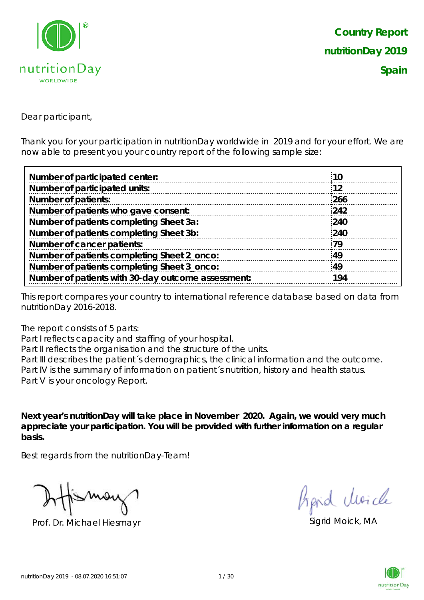

Dear participant,

Thank you for your participation in nutritionDay worldwide in 2019 and for your effort. We are now able to present you your country report of the following sample size:

| <b>10</b> |
|-----------|
| 12        |
| 266       |
| 242       |
| 240       |
| 240       |
| 79        |
| 49        |
| 49        |
| 194       |
|           |

This report compares your country to international reference database based on data from nutritionDay 2016-2018.

The report consists of 5 parts:

Part I reflects capacity and staffing of your hospital.

Part II reflects the organisation and the structure of the units.

Part III describes the patient's demographics, the clinical information and the outcome. Part IV is the summary of information on patient´s nutrition, history and health status. Part V is your oncology Report.

**Next year's nutritionDay will take place in November 2020. Again, we would very much appreciate your participation. You will be provided with further information on a regular basis.**

Best regards from the nutritionDay-Team!

Prof. Dr. Michael Hiesmayr Sigrid Moick, MA

fipid Moich

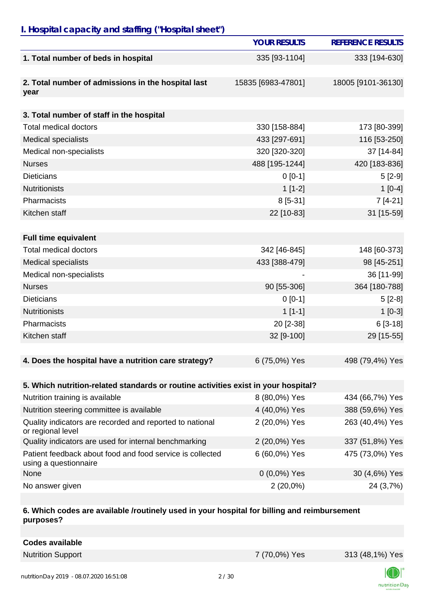# *I. Hospital capacity and staffing ("Hospital sheet")*

|                                                                                    | <b>YOUR RESULTS</b> | <b>REFERENCE RESULTS</b> |
|------------------------------------------------------------------------------------|---------------------|--------------------------|
| 1. Total number of beds in hospital                                                | 335 [93-1104]       | 333 [194-630]            |
| 2. Total number of admissions in the hospital last<br>year                         | 15835 [6983-47801]  | 18005 [9101-36130]       |
| 3. Total number of staff in the hospital                                           |                     |                          |
| <b>Total medical doctors</b>                                                       | 330 [158-884]       | 173 [80-399]             |
| <b>Medical specialists</b>                                                         | 433 [297-691]       | 116 [53-250]             |
| Medical non-specialists                                                            | 320 [320-320]       | 37 [14-84]               |
| <b>Nurses</b>                                                                      | 488 [195-1244]      | 420 [183-836]            |
| <b>Dieticians</b>                                                                  | $0 [0-1]$           | $5[2-9]$                 |
| <b>Nutritionists</b>                                                               | $1[1-2]$            | $1[0-4]$                 |
| Pharmacists                                                                        | 8 [5-31]            | $7[4-21]$                |
| Kitchen staff                                                                      | 22 [10-83]          | 31 [15-59]               |
|                                                                                    |                     |                          |
| <b>Full time equivalent</b>                                                        |                     |                          |
| <b>Total medical doctors</b>                                                       | 342 [46-845]        | 148 [60-373]             |
| <b>Medical specialists</b>                                                         | 433 [388-479]       | 98 [45-251]              |
| Medical non-specialists                                                            |                     | 36 [11-99]               |
| <b>Nurses</b>                                                                      | 90 [55-306]         | 364 [180-788]            |
| <b>Dieticians</b>                                                                  | $0 [0-1]$           | $5[2-8]$                 |
| <b>Nutritionists</b>                                                               | $1[1-1]$            | $1[0-3]$                 |
| Pharmacists                                                                        | 20 [2-38]           | $6[3-18]$                |
| Kitchen staff                                                                      | 32 [9-100]          | 29 [15-55]               |
|                                                                                    |                     |                          |
| 4. Does the hospital have a nutrition care strategy?                               | 6 (75,0%) Yes       | 498 (79,4%) Yes          |
|                                                                                    |                     |                          |
| 5. Which nutrition-related standards or routine activities exist in your hospital? |                     |                          |
| Nutrition training is available                                                    | 8 (80,0%) Yes       | 434 (66,7%) Yes          |
| Nutrition steering committee is available                                          | 4 (40,0%) Yes       | 388 (59,6%) Yes          |
| Quality indicators are recorded and reported to national<br>or regional level      | 2 (20,0%) Yes       | 263 (40,4%) Yes          |
| Quality indicators are used for internal benchmarking                              | 2 (20,0%) Yes       | 337 (51,8%) Yes          |
| Patient feedback about food and food service is collected<br>using a questionnaire | 6 (60,0%) Yes       | 475 (73,0%) Yes          |
| None                                                                               | $0(0,0\%)$ Yes      | 30 (4,6%) Yes            |
| No answer given                                                                    | $2(20,0\%)$         | 24 (3,7%)                |

#### **6. Which codes are available /routinely used in your hospital for billing and reimbursement purposes?**

| <b>Codes available</b> |
|------------------------|
|------------------------|

Nutrition Support 7 (70,0%) Yes 313 (48,1%) Yes



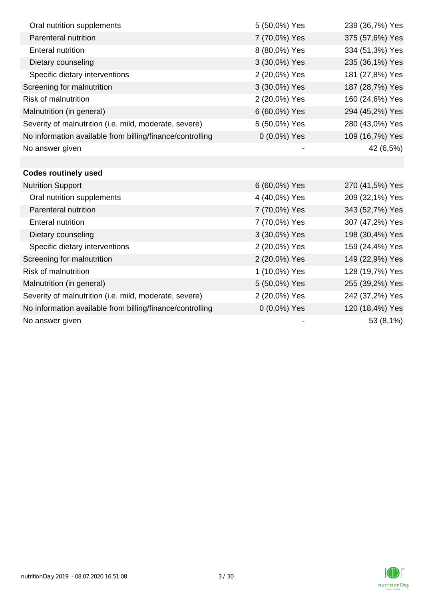| Oral nutrition supplements                                | 5 (50,0%) Yes | 239 (36,7%) Yes |
|-----------------------------------------------------------|---------------|-----------------|
| <b>Parenteral nutrition</b>                               | 7 (70,0%) Yes | 375 (57,6%) Yes |
| <b>Enteral nutrition</b>                                  | 8 (80,0%) Yes | 334 (51,3%) Yes |
| Dietary counseling                                        | 3 (30,0%) Yes | 235 (36,1%) Yes |
| Specific dietary interventions                            | 2 (20,0%) Yes | 181 (27,8%) Yes |
| Screening for malnutrition                                | 3 (30,0%) Yes | 187 (28,7%) Yes |
| <b>Risk of malnutrition</b>                               | 2 (20,0%) Yes | 160 (24,6%) Yes |
| Malnutrition (in general)                                 | 6 (60,0%) Yes | 294 (45,2%) Yes |
| Severity of malnutrition (i.e. mild, moderate, severe)    | 5 (50,0%) Yes | 280 (43,0%) Yes |
| No information available from billing/finance/controlling | 0 (0,0%) Yes  | 109 (16,7%) Yes |
| No answer given                                           |               | 42 (6,5%)       |
|                                                           |               |                 |
| <b>Codes routinely used</b>                               |               |                 |
| <b>Nutrition Support</b>                                  | 6 (60,0%) Yes | 270 (41,5%) Yes |
| Oral nutrition supplements                                | 4 (40,0%) Yes | 209 (32,1%) Yes |
| Parenteral nutrition                                      | 7 (70,0%) Yes | 343 (52,7%) Yes |
| <b>Enteral nutrition</b>                                  | 7 (70,0%) Yes | 307 (47,2%) Yes |
| Dietary counseling                                        | 3 (30,0%) Yes | 198 (30,4%) Yes |
| Specific dietary interventions                            | 2 (20,0%) Yes | 159 (24,4%) Yes |
| Screening for malnutrition                                | 2 (20,0%) Yes | 149 (22,9%) Yes |
| <b>Risk of malnutrition</b>                               | 1 (10,0%) Yes | 128 (19,7%) Yes |
| Malnutrition (in general)                                 | 5 (50,0%) Yes | 255 (39,2%) Yes |
| Severity of malnutrition (i.e. mild, moderate, severe)    | 2 (20,0%) Yes | 242 (37,2%) Yes |
| No information available from billing/finance/controlling | 0 (0,0%) Yes  | 120 (18,4%) Yes |
| No answer given                                           |               | 53 (8,1%)       |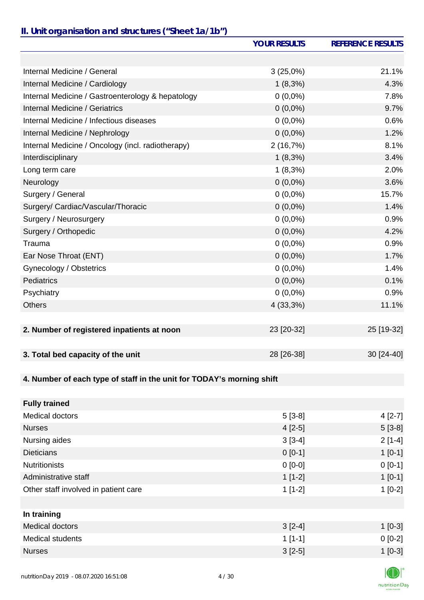### *II. Unit organisation and structures ("Sheet 1a/1b")*

|                                                                       | <b>YOUR RESULTS</b> | <b>REFERENCE RESULTS</b> |
|-----------------------------------------------------------------------|---------------------|--------------------------|
|                                                                       |                     |                          |
| Internal Medicine / General                                           | $3(25,0\%)$         | 21.1%                    |
| Internal Medicine / Cardiology                                        | $1(8,3\%)$          | 4.3%                     |
| Internal Medicine / Gastroenterology & hepatology                     | $0(0,0\%)$          | 7.8%                     |
| <b>Internal Medicine / Geriatrics</b>                                 | $0(0,0\%)$          | 9.7%                     |
| Internal Medicine / Infectious diseases                               | $0(0,0\%)$          | 0.6%                     |
| Internal Medicine / Nephrology                                        | $0(0,0\%)$          | 1.2%                     |
| Internal Medicine / Oncology (incl. radiotherapy)                     | 2(16,7%)            | 8.1%                     |
| Interdisciplinary                                                     | $1(8,3\%)$          | 3.4%                     |
| Long term care                                                        | $1(8,3\%)$          | 2.0%                     |
| Neurology                                                             | $0(0,0\%)$          | 3.6%                     |
| Surgery / General                                                     | $0(0,0\%)$          | 15.7%                    |
| Surgery/ Cardiac/Vascular/Thoracic                                    | $0(0,0\%)$          | 1.4%                     |
| Surgery / Neurosurgery                                                | $0(0,0\%)$          | 0.9%                     |
| Surgery / Orthopedic                                                  | $0(0,0\%)$          | 4.2%                     |
| Trauma                                                                | $0(0,0\%)$          | 0.9%                     |
| Ear Nose Throat (ENT)                                                 | $0(0,0\%)$          | 1.7%                     |
| Gynecology / Obstetrics                                               | $0(0,0\%)$          | 1.4%                     |
| <b>Pediatrics</b>                                                     | $0(0,0\%)$          | 0.1%                     |
| Psychiatry                                                            | $0(0,0\%)$          | 0.9%                     |
| <b>Others</b>                                                         | 4 (33,3%)           | 11.1%                    |
|                                                                       |                     |                          |
| 2. Number of registered inpatients at noon                            | 23 [20-32]          | 25 [19-32]               |
| 3. Total bed capacity of the unit                                     | 28 [26-38]          | 30 [24-40]               |
|                                                                       |                     |                          |
| 4. Number of each type of staff in the unit for TODAY's morning shift |                     |                          |
|                                                                       |                     |                          |
| <b>Fully trained</b>                                                  |                     |                          |
| <b>Medical doctors</b>                                                | $5[3-8]$            | $4[2-7]$                 |
| <b>Nurses</b>                                                         | $4[2-5]$            | $5[3-8]$                 |
| Nursing aides                                                         | $3[3-4]$            | $2[1-4]$                 |
| <b>Dieticians</b>                                                     | $0[0-1]$            | $1[0-1]$                 |
| <b>Nutritionists</b>                                                  | $0[0-0]$            | $0[0-1]$                 |
| Administrative staff                                                  | $1[1-2]$            | $1[0-1]$                 |
| Other staff involved in patient care                                  | $1[1-2]$            | $1[0-2]$                 |
|                                                                       |                     |                          |
| In training                                                           |                     |                          |

| $3[2-4]$  | $1$ [0-3] |
|-----------|-----------|
| $1$ [1-1] | $0 [0-2]$ |
| $3[2-5]$  | $1$ [0-3] |
|           |           |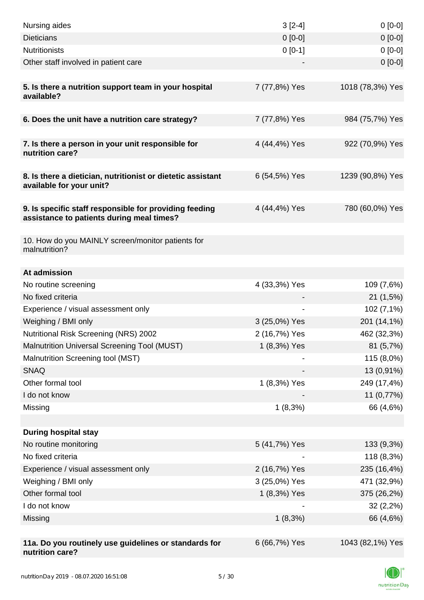| Nursing aides                                                                                       | $3[2-4]$      | $0[0-0]$         |
|-----------------------------------------------------------------------------------------------------|---------------|------------------|
| <b>Dieticians</b>                                                                                   | $0 [0-0]$     | $0[0-0]$         |
| <b>Nutritionists</b>                                                                                | $0 [0-1]$     | $0[0-0]$         |
| Other staff involved in patient care                                                                |               | $0[0-0]$         |
|                                                                                                     |               |                  |
| 5. Is there a nutrition support team in your hospital<br>available?                                 | 7 (77,8%) Yes | 1018 (78,3%) Yes |
| 6. Does the unit have a nutrition care strategy?                                                    | 7 (77,8%) Yes | 984 (75,7%) Yes  |
| 7. Is there a person in your unit responsible for<br>nutrition care?                                | 4 (44,4%) Yes | 922 (70,9%) Yes  |
| 8. Is there a dietician, nutritionist or dietetic assistant<br>available for your unit?             | 6 (54,5%) Yes | 1239 (90,8%) Yes |
| 9. Is specific staff responsible for providing feeding<br>assistance to patients during meal times? | 4 (44,4%) Yes | 780 (60,0%) Yes  |
| 10. How do you MAINLY screen/monitor patients for<br>malnutrition?                                  |               |                  |
| At admission                                                                                        |               |                  |
| No routine screening                                                                                | 4 (33,3%) Yes | 109 (7,6%)       |
| No fixed criteria                                                                                   |               | 21 (1,5%)        |
| Experience / visual assessment only                                                                 |               | 102 (7,1%)       |
| Weighing / BMI only                                                                                 | 3 (25,0%) Yes | 201 (14,1%)      |
| Nutritional Risk Screening (NRS) 2002                                                               | 2 (16,7%) Yes | 462 (32,3%)      |
| <b>Malnutrition Universal Screening Tool (MUST)</b>                                                 | 1 (8,3%) Yes  | 81(5,7%)         |
| Malnutrition Screening tool (MST)                                                                   |               | 115 (8,0%)       |
| <b>SNAQ</b>                                                                                         |               | 13 (0,91%)       |
| Other formal tool                                                                                   | 1 (8,3%) Yes  | 249 (17,4%)      |
| I do not know                                                                                       |               | 11 (0,77%)       |
| Missing                                                                                             | 1(8,3%)       | 66 (4,6%)        |
|                                                                                                     |               |                  |
| <b>During hospital stay</b>                                                                         |               |                  |
| No routine monitoring                                                                               | 5 (41,7%) Yes | 133 (9,3%)       |
| No fixed criteria                                                                                   |               | 118 (8,3%)       |
| Experience / visual assessment only                                                                 | 2 (16,7%) Yes | 235 (16,4%)      |
| Weighing / BMI only                                                                                 | 3 (25,0%) Yes | 471 (32,9%)      |
| Other formal tool                                                                                   | 1 (8,3%) Yes  | 375 (26,2%)      |
| I do not know                                                                                       |               | 32(2,2%)         |
| Missing                                                                                             | 1(8,3%)       | 66 (4,6%)        |
|                                                                                                     |               |                  |
| 11a. Do you routinely use guidelines or standards for<br>nutrition care?                            | 6 (66,7%) Yes | 1043 (82,1%) Yes |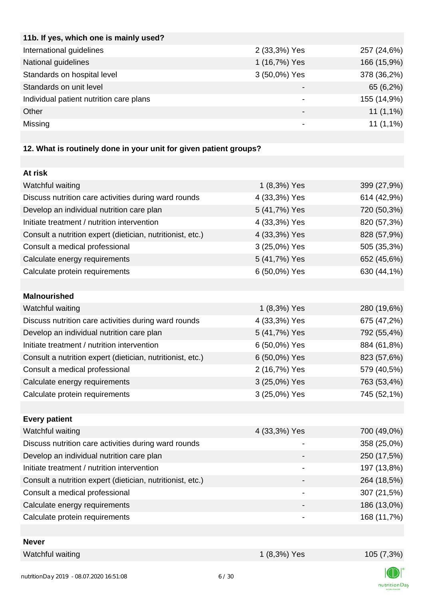| 11b. If yes, which one is mainly used?  |               |             |
|-----------------------------------------|---------------|-------------|
| International guidelines                | 2 (33,3%) Yes | 257 (24,6%) |
| National guidelines                     | 1 (16,7%) Yes | 166 (15,9%) |
| Standards on hospital level             | 3 (50,0%) Yes | 378 (36,2%) |
| Standards on unit level                 |               | 65 (6,2%)   |
| Individual patient nutrition care plans | -             | 155 (14,9%) |
| Other                                   |               | $11(1,1\%)$ |
| Missing                                 |               | $11(1,1\%)$ |
|                                         |               |             |

# **12. What is routinely done in your unit for given patient groups?**

| At risk                                                    |                |             |
|------------------------------------------------------------|----------------|-------------|
| Watchful waiting                                           | 1 (8,3%) Yes   | 399 (27,9%) |
| Discuss nutrition care activities during ward rounds       | 4 (33,3%) Yes  | 614 (42,9%) |
| Develop an individual nutrition care plan                  | 5 (41,7%) Yes  | 720 (50,3%) |
| Initiate treatment / nutrition intervention                | 4 (33,3%) Yes  | 820 (57,3%) |
| Consult a nutrition expert (dietician, nutritionist, etc.) | 4 (33,3%) Yes  | 828 (57,9%) |
| Consult a medical professional                             | 3 (25,0%) Yes  | 505 (35,3%) |
| Calculate energy requirements                              | 5 (41,7%) Yes  | 652 (45,6%) |
| Calculate protein requirements                             | 6 (50,0%) Yes  | 630 (44,1%) |
|                                                            |                |             |
| <b>Malnourished</b>                                        |                |             |
| Watchful waiting                                           | 1 (8,3%) Yes   | 280 (19,6%) |
| Discuss nutrition care activities during ward rounds       | 4 (33,3%) Yes  | 675 (47,2%) |
| Develop an individual nutrition care plan                  | 5 (41,7%) Yes  | 792 (55,4%) |
| Initiate treatment / nutrition intervention                | 6 (50,0%) Yes  | 884 (61,8%) |
| Consult a nutrition expert (dietician, nutritionist, etc.) | 6 (50,0%) Yes  | 823 (57,6%) |
| Consult a medical professional                             | 2 (16,7%) Yes  | 579 (40,5%) |
| Calculate energy requirements                              | 3 (25,0%) Yes  | 763 (53,4%) |
| Calculate protein requirements                             | 3 (25,0%) Yes  | 745 (52,1%) |
|                                                            |                |             |
| <b>Every patient</b>                                       |                |             |
| Watchful waiting                                           | 4 (33,3%) Yes  | 700 (49,0%) |
| Discuss nutrition care activities during ward rounds       | $\blacksquare$ | 358 (25,0%) |
| Develop an individual nutrition care plan                  |                | 250 (17,5%) |
| Initiate treatment / nutrition intervention                |                | 197 (13,8%) |
| Consult a nutrition expert (dietician, nutritionist, etc.) |                | 264 (18,5%) |
| Consult a medical professional                             |                | 307 (21,5%) |
| Calculate energy requirements                              |                | 186 (13,0%) |
| Calculate protein requirements                             |                | 168 (11,7%) |
|                                                            |                |             |
| <b>Never</b>                                               |                |             |
| Watchful waiting                                           | 1 (8,3%) Yes   | 105 (7,3%)  |

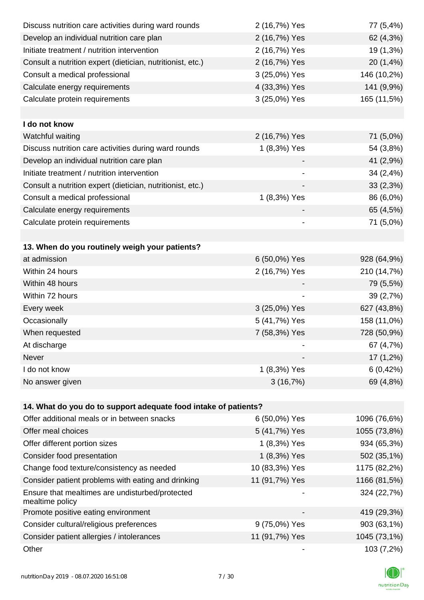| Discuss nutrition care activities during ward rounds               | 2 (16,7%) Yes                | 77 (5,4%)    |
|--------------------------------------------------------------------|------------------------------|--------------|
| Develop an individual nutrition care plan                          | 2 (16,7%) Yes                | 62 (4,3%)    |
| Initiate treatment / nutrition intervention                        | 2 (16,7%) Yes                | 19 (1,3%)    |
| Consult a nutrition expert (dietician, nutritionist, etc.)         | 2 (16,7%) Yes                | 20 (1,4%)    |
| Consult a medical professional                                     | 3 (25,0%) Yes                | 146 (10,2%)  |
| Calculate energy requirements                                      | 4 (33,3%) Yes                | 141 (9,9%)   |
| Calculate protein requirements                                     | 3 (25,0%) Yes                | 165 (11,5%)  |
|                                                                    |                              |              |
| I do not know                                                      |                              |              |
| Watchful waiting                                                   | 2 (16,7%) Yes                | 71 (5,0%)    |
| Discuss nutrition care activities during ward rounds               | 1 (8,3%) Yes                 | 54 (3,8%)    |
| Develop an individual nutrition care plan                          |                              | 41 (2,9%)    |
| Initiate treatment / nutrition intervention                        |                              | 34 (2,4%)    |
| Consult a nutrition expert (dietician, nutritionist, etc.)         |                              | 33(2,3%)     |
| Consult a medical professional                                     | 1 (8,3%) Yes                 | 86 (6,0%)    |
| Calculate energy requirements                                      |                              | 65 (4,5%)    |
| Calculate protein requirements                                     | $\qquad \qquad \blacksquare$ | 71 (5,0%)    |
|                                                                    |                              |              |
| 13. When do you routinely weigh your patients?                     |                              |              |
| at admission                                                       | 6 (50,0%) Yes                | 928 (64,9%)  |
| Within 24 hours                                                    | 2 (16,7%) Yes                | 210 (14,7%)  |
| Within 48 hours                                                    |                              | 79 (5,5%)    |
| Within 72 hours                                                    |                              | 39 (2,7%)    |
| Every week                                                         | 3 (25,0%) Yes                | 627 (43,8%)  |
| Occasionally                                                       | 5 (41,7%) Yes                | 158 (11,0%)  |
| When requested                                                     | 7 (58,3%) Yes                | 728 (50,9%)  |
| At discharge                                                       |                              | 67 (4,7%)    |
| Never                                                              |                              | 17 (1,2%)    |
| I do not know                                                      | 1 (8,3%) Yes                 | $6(0, 42\%)$ |
| No answer given                                                    | 3(16,7%)                     | 69 (4,8%)    |
|                                                                    |                              |              |
| 14. What do you do to support adequate food intake of patients?    |                              |              |
| Offer additional meals or in between snacks                        | 6 (50,0%) Yes                | 1096 (76,6%) |
| Offer meal choices                                                 | 5 (41,7%) Yes                | 1055 (73,8%) |
| Offer different portion sizes                                      | 1 (8,3%) Yes                 | 934 (65,3%)  |
| Consider food presentation                                         | 1 (8,3%) Yes                 | 502 (35,1%)  |
| Change food texture/consistency as needed                          | 10 (83,3%) Yes               | 1175 (82,2%) |
| Consider patient problems with eating and drinking                 | 11 (91,7%) Yes               | 1166 (81,5%) |
| Ensure that mealtimes are undisturbed/protected<br>mealtime policy |                              | 324 (22,7%)  |
| Promote positive eating environment                                |                              | 419 (29,3%)  |
| Consider cultural/religious preferences                            | 9 (75,0%) Yes                | 903 (63,1%)  |
| Consider patient allergies / intolerances                          | 11 (91,7%) Yes               | 1045 (73,1%) |
| Other                                                              |                              | 103 (7,2%)   |

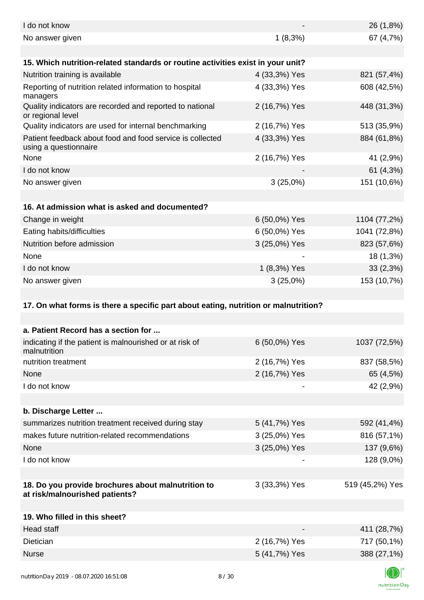| I do not know                                                                        |               | 26 (1,8%)       |
|--------------------------------------------------------------------------------------|---------------|-----------------|
| No answer given                                                                      | $1(8,3\%)$    | 67 (4,7%)       |
|                                                                                      |               |                 |
| 15. Which nutrition-related standards or routine activities exist in your unit?      |               |                 |
| Nutrition training is available                                                      | 4 (33,3%) Yes | 821 (57,4%)     |
| Reporting of nutrition related information to hospital<br>managers                   | 4 (33,3%) Yes | 608 (42,5%)     |
| Quality indicators are recorded and reported to national<br>or regional level        | 2 (16,7%) Yes | 448 (31,3%)     |
| Quality indicators are used for internal benchmarking                                | 2 (16,7%) Yes | 513 (35,9%)     |
| Patient feedback about food and food service is collected<br>using a questionnaire   | 4 (33,3%) Yes | 884 (61,8%)     |
| None                                                                                 | 2 (16,7%) Yes | 41 (2,9%)       |
| I do not know                                                                        |               | 61 (4,3%)       |
| No answer given                                                                      | $3(25,0\%)$   | 151 (10,6%)     |
|                                                                                      |               |                 |
| 16. At admission what is asked and documented?                                       |               |                 |
| Change in weight                                                                     | 6 (50,0%) Yes | 1104 (77,2%)    |
| Eating habits/difficulties                                                           | 6 (50,0%) Yes | 1041 (72,8%)    |
| Nutrition before admission                                                           | 3 (25,0%) Yes | 823 (57,6%)     |
| None                                                                                 |               | 18 (1,3%)       |
| I do not know                                                                        | 1 (8,3%) Yes  | 33(2,3%)        |
| No answer given                                                                      | $3(25,0\%)$   | 153 (10,7%)     |
|                                                                                      |               |                 |
| 17. On what forms is there a specific part about eating, nutrition or malnutrition?  |               |                 |
|                                                                                      |               |                 |
| a. Patient Record has a section for                                                  |               |                 |
| indicating if the patient is malnourished or at risk of<br>malnutrition              | 6 (50,0%) Yes | 1037 (72,5%)    |
| nutrition treatment                                                                  | 2 (16,7%) Yes | 837 (58,5%)     |
| None                                                                                 | 2 (16,7%) Yes | 65 (4,5%)       |
| I do not know                                                                        |               | 42 (2,9%)       |
|                                                                                      |               |                 |
| b. Discharge Letter                                                                  |               |                 |
| summarizes nutrition treatment received during stay                                  | 5 (41,7%) Yes | 592 (41,4%)     |
| makes future nutrition-related recommendations                                       | 3 (25,0%) Yes | 816 (57,1%)     |
| None                                                                                 | 3 (25,0%) Yes | 137 (9,6%)      |
| I do not know                                                                        |               | 128 (9,0%)      |
|                                                                                      |               |                 |
| 18. Do you provide brochures about malnutrition to<br>at risk/malnourished patients? | 3 (33,3%) Yes | 519 (45,2%) Yes |
|                                                                                      |               |                 |
| 19. Who filled in this sheet?                                                        |               |                 |
| Head staff                                                                           |               | 411 (28,7%)     |
| Dietician                                                                            | 2 (16,7%) Yes | 717 (50,1%)     |
|                                                                                      |               |                 |
| <b>Nurse</b>                                                                         | 5 (41,7%) Yes | 388 (27,1%)     |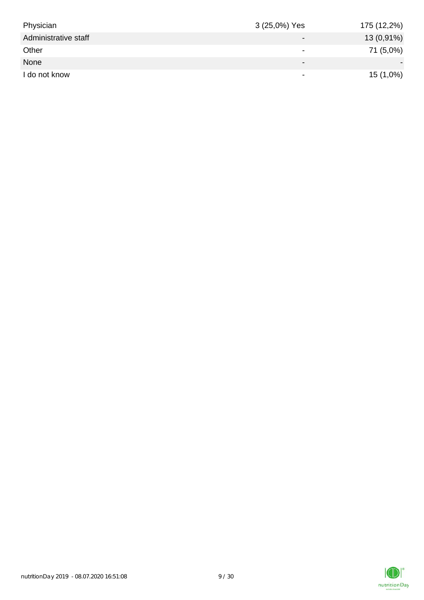| Physician            | 3 (25,0%) Yes            | 175 (12,2%)  |
|----------------------|--------------------------|--------------|
| Administrative staff | $\overline{\phantom{0}}$ | $13(0,91\%)$ |
| Other                | $\overline{\phantom{0}}$ | 71 (5,0%)    |
| None                 | $\overline{\phantom{0}}$ |              |
| I do not know        | $\overline{\phantom{0}}$ | $15(1,0\%)$  |

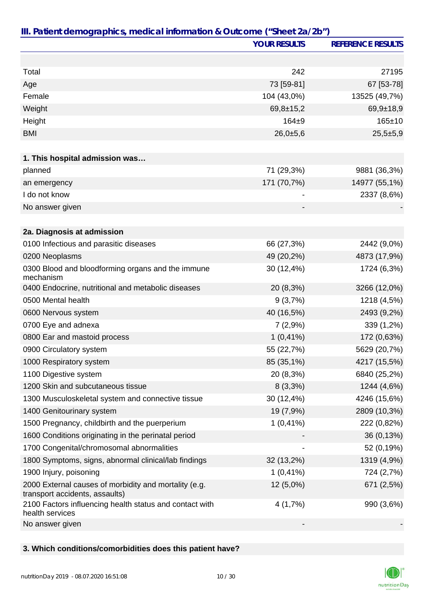|                                                                                         | <b>YOUR RESULTS</b> | <b>REFERENCE RESULTS</b> |
|-----------------------------------------------------------------------------------------|---------------------|--------------------------|
|                                                                                         |                     |                          |
| Total                                                                                   | 242                 | 27195                    |
| Age                                                                                     | 73 [59-81]          | 67 [53-78]               |
| Female                                                                                  | 104 (43,0%)         | 13525 (49,7%)            |
| Weight                                                                                  | $69,8 \pm 15,2$     | $69,9+18,9$              |
| Height                                                                                  | $164 + 9$           | $165 \pm 10$             |
| <b>BMI</b>                                                                              | 26,0±5,6            | $25,5+5,9$               |
|                                                                                         |                     |                          |
| 1. This hospital admission was                                                          |                     |                          |
| planned                                                                                 | 71 (29,3%)          | 9881 (36,3%)             |
| an emergency                                                                            | 171 (70,7%)         | 14977 (55,1%)            |
| I do not know                                                                           |                     | 2337 (8,6%)              |
| No answer given                                                                         |                     |                          |
|                                                                                         |                     |                          |
| 2a. Diagnosis at admission                                                              |                     |                          |
| 0100 Infectious and parasitic diseases                                                  | 66 (27,3%)          | 2442 (9,0%)              |
| 0200 Neoplasms                                                                          | 49 (20,2%)          | 4873 (17,9%)             |
| 0300 Blood and bloodforming organs and the immune<br>mechanism                          | 30 (12,4%)          | 1724 (6,3%)              |
| 0400 Endocrine, nutritional and metabolic diseases                                      | 20 (8,3%)           | 3266 (12,0%)             |
| 0500 Mental health                                                                      | 9(3,7%)             | 1218 (4,5%)              |
| 0600 Nervous system                                                                     | 40 (16,5%)          | 2493 (9,2%)              |
| 0700 Eye and adnexa                                                                     | 7(2,9%)             | 339 (1,2%)               |
| 0800 Ear and mastoid process                                                            | $1(0,41\%)$         | 172 (0,63%)              |
| 0900 Circulatory system                                                                 | 55 (22,7%)          | 5629 (20,7%)             |
| 1000 Respiratory system                                                                 | 85 (35,1%)          | 4217 (15,5%)             |
| 1100 Digestive system                                                                   | 20 (8,3%)           | 6840 (25,2%)             |
| 1200 Skin and subcutaneous tissue                                                       | $8(3,3\%)$          | 1244 (4,6%)              |
| 1300 Musculoskeletal system and connective tissue                                       | 30 (12,4%)          | 4246 (15,6%)             |
| 1400 Genitourinary system                                                               | 19 (7,9%)           | 2809 (10,3%)             |
| 1500 Pregnancy, childbirth and the puerperium                                           | $1(0,41\%)$         | 222 (0,82%)              |
| 1600 Conditions originating in the perinatal period                                     |                     | 36 (0,13%)               |
| 1700 Congenital/chromosomal abnormalities                                               |                     | 52 (0,19%)               |
| 1800 Symptoms, signs, abnormal clinical/lab findings                                    | 32 (13,2%)          | 1319 (4,9%)              |
| 1900 Injury, poisoning                                                                  | $1(0,41\%)$         | 724 (2,7%)               |
| 2000 External causes of morbidity and mortality (e.g.<br>transport accidents, assaults) | 12 (5,0%)           | 671 (2,5%)               |
| 2100 Factors influencing health status and contact with<br>health services              | 4(1,7%)             | 990 (3,6%)               |
| No answer given                                                                         |                     |                          |

# **3. Which conditions/comorbidities does this patient have?**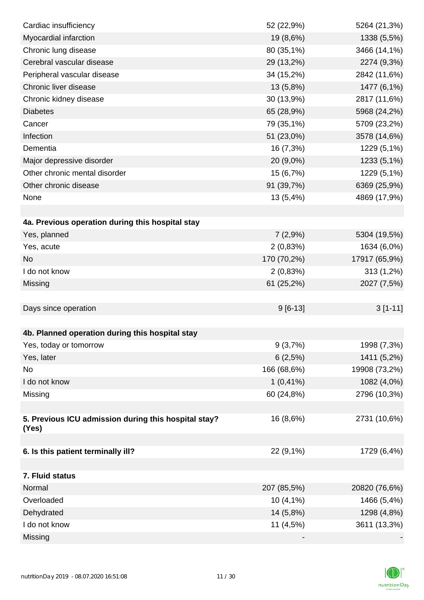| Cardiac insufficiency                                | 52 (22,9%)  | 5264 (21,3%)  |
|------------------------------------------------------|-------------|---------------|
| Myocardial infarction                                | 19 (8,6%)   | 1338 (5,5%)   |
| Chronic lung disease                                 | 80 (35,1%)  | 3466 (14,1%)  |
| Cerebral vascular disease                            | 29 (13,2%)  | 2274 (9,3%)   |
| Peripheral vascular disease                          | 34 (15,2%)  | 2842 (11,6%)  |
| Chronic liver disease                                | 13 (5,8%)   | 1477 (6,1%)   |
| Chronic kidney disease                               | 30 (13,9%)  | 2817 (11,6%)  |
| <b>Diabetes</b>                                      | 65 (28,9%)  | 5968 (24,2%)  |
| Cancer                                               | 79 (35,1%)  | 5709 (23,2%)  |
| Infection                                            | 51 (23,0%)  | 3578 (14,6%)  |
| Dementia                                             | 16 (7,3%)   | 1229 (5,1%)   |
| Major depressive disorder                            | 20 (9,0%)   | 1233 (5,1%)   |
| Other chronic mental disorder                        | 15 (6,7%)   | 1229 (5,1%)   |
| Other chronic disease                                | 91 (39,7%)  | 6369 (25,9%)  |
| None                                                 | 13 (5,4%)   | 4869 (17,9%)  |
|                                                      |             |               |
| 4a. Previous operation during this hospital stay     |             |               |
| Yes, planned                                         | 7(2,9%)     | 5304 (19,5%)  |
| Yes, acute                                           | 2(0,83%)    | 1634 (6,0%)   |
| <b>No</b>                                            | 170 (70,2%) | 17917 (65,9%) |
| I do not know                                        | 2(0,83%)    | 313 (1,2%)    |
| Missing                                              | 61 (25,2%)  | 2027 (7,5%)   |
|                                                      |             |               |
| Days since operation                                 | $9[6-13]$   | $3[1-11]$     |
|                                                      |             |               |
| 4b. Planned operation during this hospital stay      |             |               |
| Yes, today or tomorrow                               | 9(3,7%)     | 1998 (7,3%)   |
| Yes, later                                           | 6(2,5%)     | 1411 (5,2%)   |
| No                                                   | 166 (68,6%) | 19908 (73,2%) |
| I do not know                                        | $1(0,41\%)$ | 1082 (4,0%)   |
| Missing                                              | 60 (24,8%)  | 2796 (10,3%)  |
|                                                      |             |               |
| 5. Previous ICU admission during this hospital stay? | 16 (8,6%)   | 2731 (10,6%)  |
| (Yes)                                                |             |               |
|                                                      |             |               |
| 6. Is this patient terminally ill?                   | 22 (9,1%)   | 1729 (6,4%)   |
|                                                      |             |               |
| 7. Fluid status                                      |             |               |
| Normal                                               | 207 (85,5%) | 20820 (76,6%) |
| Overloaded                                           | 10 (4,1%)   | 1466 (5,4%)   |
| Dehydrated                                           | 14 (5,8%)   | 1298 (4,8%)   |
| I do not know                                        | 11 (4,5%)   | 3611 (13,3%)  |
| Missing                                              |             |               |

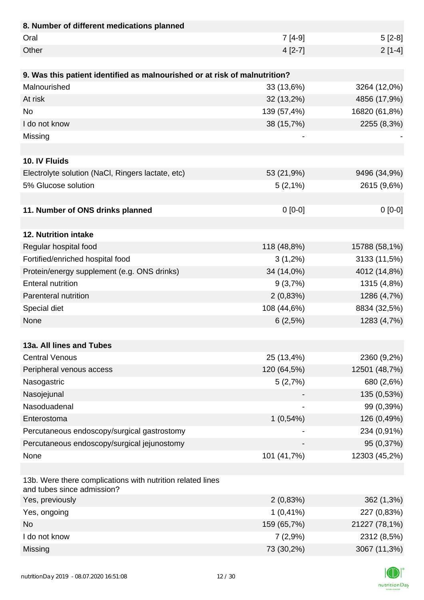| 8. Number of different medications planned                                               |             |               |
|------------------------------------------------------------------------------------------|-------------|---------------|
| Oral                                                                                     | $7[4-9]$    | $5[2-8]$      |
| Other                                                                                    | $4 [2-7]$   | $2[1-4]$      |
|                                                                                          |             |               |
| 9. Was this patient identified as malnourished or at risk of malnutrition?               |             |               |
| Malnourished                                                                             | 33 (13,6%)  | 3264 (12,0%)  |
| At risk                                                                                  | 32 (13,2%)  | 4856 (17,9%)  |
| <b>No</b>                                                                                | 139 (57,4%) | 16820 (61,8%) |
| I do not know                                                                            | 38 (15,7%)  | 2255 (8,3%)   |
| Missing                                                                                  |             |               |
|                                                                                          |             |               |
| 10. IV Fluids                                                                            |             |               |
| Electrolyte solution (NaCl, Ringers lactate, etc)                                        | 53 (21,9%)  | 9496 (34,9%)  |
| 5% Glucose solution                                                                      | $5(2,1\%)$  | 2615 (9,6%)   |
|                                                                                          |             |               |
| 11. Number of ONS drinks planned                                                         | $0 [0-0]$   | $0[0-0]$      |
|                                                                                          |             |               |
| 12. Nutrition intake                                                                     |             |               |
| Regular hospital food                                                                    | 118 (48,8%) | 15788 (58,1%) |
| Fortified/enriched hospital food                                                         | $3(1,2\%)$  | 3133 (11,5%)  |
| Protein/energy supplement (e.g. ONS drinks)                                              | 34 (14,0%)  | 4012 (14,8%)  |
| <b>Enteral nutrition</b>                                                                 | 9(3,7%)     | 1315 (4,8%)   |
| Parenteral nutrition                                                                     | 2(0,83%)    | 1286 (4,7%)   |
| Special diet                                                                             | 108 (44,6%) | 8834 (32,5%)  |
| None                                                                                     | 6(2,5%)     | 1283 (4,7%)   |
|                                                                                          |             |               |
| 13a. All lines and Tubes                                                                 |             |               |
| <b>Central Venous</b>                                                                    | 25 (13,4%)  | 2360 (9,2%)   |
| Peripheral venous access                                                                 | 120 (64,5%) | 12501 (48,7%) |
| Nasogastric                                                                              | 5(2,7%)     | 680 (2,6%)    |
| Nasojejunal                                                                              |             | 135 (0,53%)   |
| Nasoduadenal                                                                             |             | 99 (0,39%)    |
| Enterostoma                                                                              | 1(0,54%)    | 126 (0,49%)   |
| Percutaneous endoscopy/surgical gastrostomy                                              |             | 234 (0,91%)   |
| Percutaneous endoscopy/surgical jejunostomy                                              |             | 95 (0,37%)    |
| None                                                                                     | 101 (41,7%) | 12303 (45,2%) |
|                                                                                          |             |               |
| 13b. Were there complications with nutrition related lines<br>and tubes since admission? |             |               |
| Yes, previously                                                                          | 2(0,83%)    | 362 (1,3%)    |
| Yes, ongoing                                                                             | $1(0,41\%)$ | 227 (0,83%)   |
| <b>No</b>                                                                                | 159 (65,7%) | 21227 (78,1%) |
| I do not know                                                                            | 7(2,9%)     | 2312 (8,5%)   |
| Missing                                                                                  | 73 (30,2%)  | 3067 (11,3%)  |

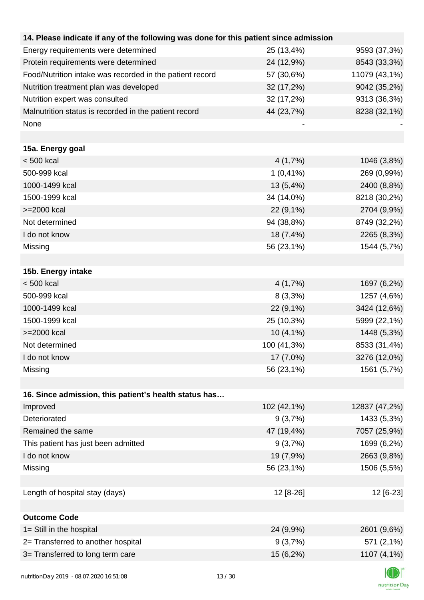| 14. Please indicate if any of the following was done for this patient since admission |             |               |
|---------------------------------------------------------------------------------------|-------------|---------------|
| Energy requirements were determined                                                   | 25 (13,4%)  | 9593 (37,3%)  |
| Protein requirements were determined                                                  | 24 (12,9%)  | 8543 (33,3%)  |
| Food/Nutrition intake was recorded in the patient record                              | 57 (30,6%)  | 11079 (43,1%) |
| Nutrition treatment plan was developed                                                | 32 (17,2%)  | 9042 (35,2%)  |
| Nutrition expert was consulted                                                        | 32 (17,2%)  | 9313 (36,3%)  |
| Malnutrition status is recorded in the patient record                                 | 44 (23,7%)  | 8238 (32,1%)  |
| None                                                                                  |             |               |
|                                                                                       |             |               |
| 15a. Energy goal                                                                      |             |               |
| $< 500$ kcal                                                                          | 4(1,7%)     | 1046 (3,8%)   |
| 500-999 kcal                                                                          | $1(0,41\%)$ | 269 (0,99%)   |
| 1000-1499 kcal                                                                        | 13 (5,4%)   | 2400 (8,8%)   |
| 1500-1999 kcal                                                                        | 34 (14,0%)  | 8218 (30,2%)  |
| >=2000 kcal                                                                           | 22 (9,1%)   | 2704 (9,9%)   |
| Not determined                                                                        | 94 (38,8%)  | 8749 (32,2%)  |
| I do not know                                                                         | 18 (7,4%)   | 2265 (8,3%)   |
| Missing                                                                               | 56 (23,1%)  | 1544 (5,7%)   |
|                                                                                       |             |               |
| 15b. Energy intake                                                                    |             |               |
| $< 500$ kcal                                                                          | 4(1,7%)     | 1697 (6,2%)   |
| 500-999 kcal                                                                          | $8(3,3\%)$  | 1257 (4,6%)   |
| 1000-1499 kcal                                                                        | 22 (9,1%)   | 3424 (12,6%)  |
| 1500-1999 kcal                                                                        | 25 (10,3%)  | 5999 (22,1%)  |
| >=2000 kcal                                                                           | $10(4,1\%)$ | 1448 (5,3%)   |
| Not determined                                                                        | 100 (41,3%) | 8533 (31,4%)  |
| I do not know                                                                         | 17 (7,0%)   | 3276 (12,0%)  |
| Missing                                                                               | 56 (23,1%)  | 1561 (5,7%)   |
|                                                                                       |             |               |
| 16. Since admission, this patient's health status has                                 |             |               |
| Improved                                                                              | 102 (42,1%) | 12837 (47,2%) |
| Deteriorated                                                                          | 9(3,7%)     | 1433 (5,3%)   |
| Remained the same                                                                     | 47 (19,4%)  | 7057 (25,9%)  |
| This patient has just been admitted                                                   | 9(3,7%)     | 1699 (6,2%)   |
| I do not know                                                                         | 19 (7,9%)   | 2663 (9,8%)   |
| Missing                                                                               | 56 (23,1%)  | 1506 (5,5%)   |
|                                                                                       |             |               |
| Length of hospital stay (days)                                                        | 12 [8-26]   | 12 [6-23]     |
|                                                                                       |             |               |
| <b>Outcome Code</b>                                                                   |             |               |
| 1= Still in the hospital                                                              | 24 (9,9%)   | 2601 (9,6%)   |
| 2= Transferred to another hospital                                                    | 9(3,7%)     | 571 (2,1%)    |
| 3= Transferred to long term care                                                      | 15 (6,2%)   | 1107 (4,1%)   |
|                                                                                       |             |               |

K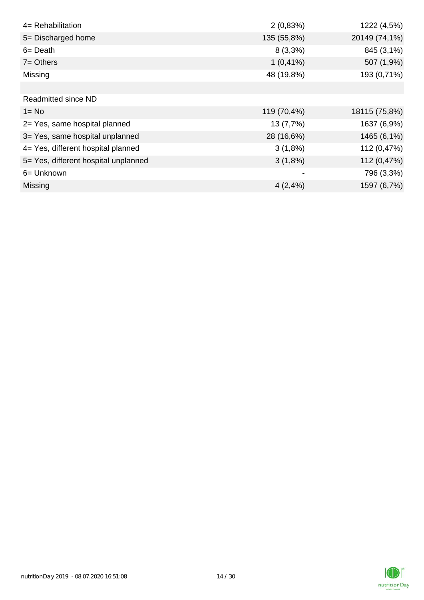| 4= Rehabilitation                    | 2(0,83%)    | 1222 (4,5%)   |
|--------------------------------------|-------------|---------------|
| 5= Discharged home                   | 135 (55,8%) | 20149 (74,1%) |
| $6 = Death$                          | $8(3,3\%)$  | 845 (3,1%)    |
| $7 = Others$                         | $1(0,41\%)$ | 507 (1,9%)    |
| Missing                              | 48 (19,8%)  | 193 (0,71%)   |
|                                      |             |               |
| <b>Readmitted since ND</b>           |             |               |
| $1 = No$                             | 119 (70,4%) | 18115 (75,8%) |
| 2= Yes, same hospital planned        | 13 (7,7%)   | 1637 (6,9%)   |
| 3= Yes, same hospital unplanned      | 28 (16,6%)  | 1465 (6,1%)   |
| 4= Yes, different hospital planned   | $3(1,8\%)$  | 112 (0,47%)   |
| 5= Yes, different hospital unplanned | $3(1,8\%)$  | 112 (0,47%)   |
| 6= Unknown                           | -           | 796 (3,3%)    |
| <b>Missing</b>                       | 4(2,4%)     | 1597 (6,7%)   |

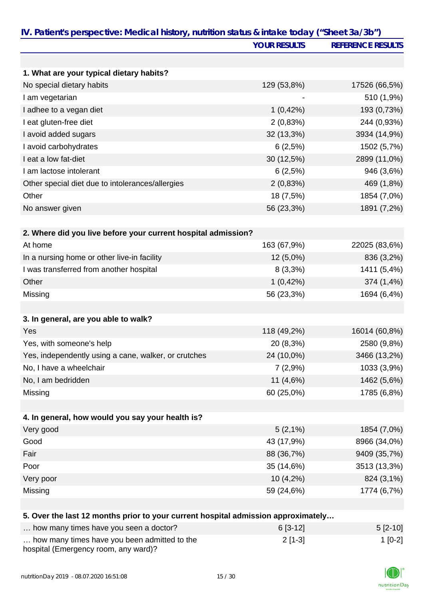|                                                                                   | <b>YOUR RESULTS</b> | <b>REFERENCE RESULTS</b> |
|-----------------------------------------------------------------------------------|---------------------|--------------------------|
|                                                                                   |                     |                          |
| 1. What are your typical dietary habits?                                          |                     |                          |
| No special dietary habits                                                         | 129 (53,8%)         | 17526 (66,5%)            |
| I am vegetarian                                                                   |                     | 510 (1,9%)               |
| I adhee to a vegan diet                                                           | 1(0,42%)            | 193 (0,73%)              |
| I eat gluten-free diet                                                            | 2(0,83%)            | 244 (0,93%)              |
| I avoid added sugars                                                              | 32 (13,3%)          | 3934 (14,9%)             |
| I avoid carbohydrates                                                             | 6(2,5%)             | 1502 (5,7%)              |
| I eat a low fat-diet                                                              | 30 (12,5%)          | 2899 (11,0%)             |
| I am lactose intolerant                                                           | 6(2,5%)             | 946 (3,6%)               |
| Other special diet due to intolerances/allergies                                  | 2(0,83%)            | 469 (1,8%)               |
| Other                                                                             | 18 (7,5%)           | 1854 (7,0%)              |
| No answer given                                                                   | 56 (23,3%)          | 1891 (7,2%)              |
| 2. Where did you live before your current hospital admission?                     |                     |                          |
| At home                                                                           | 163 (67,9%)         | 22025 (83,6%)            |
| In a nursing home or other live-in facility                                       | 12 (5,0%)           | 836 (3,2%)               |
| I was transferred from another hospital                                           | $8(3,3\%)$          | 1411 (5,4%)              |
| Other                                                                             | 1(0,42%)            | 374 (1,4%)               |
| Missing                                                                           | 56 (23,3%)          | 1694 (6,4%)              |
|                                                                                   |                     |                          |
| 3. In general, are you able to walk?                                              |                     |                          |
| Yes                                                                               | 118 (49,2%)         | 16014 (60,8%)            |
| Yes, with someone's help                                                          | 20 (8,3%)           | 2580 (9,8%)              |
| Yes, independently using a cane, walker, or crutches                              | 24 (10,0%)          | 3466 (13,2%)             |
| No, I have a wheelchair                                                           | 7(2,9%)             | 1033 (3,9%)              |
| No, I am bedridden                                                                | 11 (4,6%)           | 1462 (5,6%)              |
| Missing                                                                           | 60 (25,0%)          | 1785 (6,8%)              |
|                                                                                   |                     |                          |
| 4. In general, how would you say your health is?                                  |                     |                          |
| Very good                                                                         | $5(2,1\%)$          | 1854 (7,0%)              |
| Good                                                                              | 43 (17,9%)          | 8966 (34,0%)             |
| Fair                                                                              | 88 (36,7%)          | 9409 (35,7%)             |
| Poor                                                                              | 35 (14,6%)          | 3513 (13,3%)             |
| Very poor                                                                         | 10(4,2%)            | 824 (3,1%)               |
| Missing                                                                           | 59 (24,6%)          | 1774 (6,7%)              |
|                                                                                   |                     |                          |
| 5. Over the last 12 months prior to your current hospital admission approximately |                     |                          |

| how many times have you seen a doctor?                                               | $6[3-12]$ | $5 [2-10]$ |
|--------------------------------------------------------------------------------------|-----------|------------|
| how many times have you been admitted to the<br>hospital (Emergency room, any ward)? | $2$ [1-3] | $1$ [0-2]  |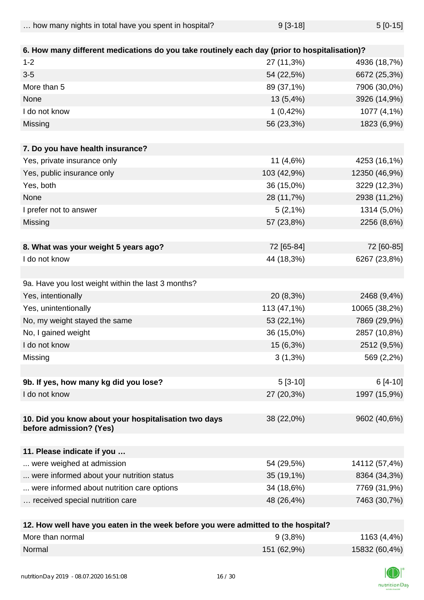| how many nights in total have you spent in hospital? | $9[3-18]$ | $5[0-15]$ |
|------------------------------------------------------|-----------|-----------|
|------------------------------------------------------|-----------|-----------|

| 6. How many different medications do you take routinely each day (prior to hospitalisation)? |                          |               |
|----------------------------------------------------------------------------------------------|--------------------------|---------------|
| $1 - 2$                                                                                      | 27 (11,3%)               | 4936 (18,7%)  |
| $3-5$                                                                                        | 54 (22,5%)               | 6672 (25,3%)  |
| More than 5                                                                                  | 89 (37,1%)               | 7906 (30,0%)  |
| None                                                                                         | 13 (5,4%)                | 3926 (14,9%)  |
| I do not know                                                                                | 1(0,42%)                 | 1077 (4,1%)   |
| Missing                                                                                      | 56 (23,3%)               | 1823 (6,9%)   |
| 7. Do you have health insurance?                                                             |                          |               |
| Yes, private insurance only                                                                  | 11 (4,6%)                | 4253 (16,1%)  |
| Yes, public insurance only                                                                   | 103 (42,9%)              | 12350 (46,9%) |
| Yes, both                                                                                    | 36 (15,0%)               | 3229 (12,3%)  |
| None                                                                                         | 28 (11,7%)               | 2938 (11,2%)  |
| I prefer not to answer                                                                       | $5(2,1\%)$               | 1314 (5,0%)   |
| Missing                                                                                      | 57 (23,8%)               | 2256 (8,6%)   |
|                                                                                              |                          |               |
| 8. What was your weight 5 years ago?                                                         | 72 [65-84]               | 72 [60-85]    |
| I do not know                                                                                | 44 (18,3%)               | 6267 (23,8%)  |
|                                                                                              |                          |               |
| 9a. Have you lost weight within the last 3 months?                                           |                          |               |
| Yes, intentionally                                                                           | 20 (8,3%)                | 2468 (9,4%)   |
| Yes, unintentionally                                                                         | 113 (47,1%)              | 10065 (38,2%) |
| No, my weight stayed the same                                                                | 53 (22,1%)               | 7869 (29,9%)  |
| No, I gained weight                                                                          | 36 (15,0%)               | 2857 (10,8%)  |
| I do not know                                                                                | 15 (6,3%)                | 2512 (9,5%)   |
| Missing                                                                                      | $3(1,3\%)$               | 569 (2,2%)    |
|                                                                                              |                          |               |
| 9b. If yes, how many kg did you lose?                                                        | $5[3-10]$                | $6[4-10]$     |
| I do not know                                                                                | 27 (20,3%)               | 1997 (15,9%)  |
|                                                                                              |                          |               |
| 10. Did you know about your hospitalisation two days<br>before admission? (Yes)              | 38 (22,0%)               | 9602 (40,6%)  |
| 11. Please indicate if you                                                                   |                          |               |
| were weighed at admission                                                                    | 54 (29,5%)               | 14112 (57,4%) |
| were informed about your nutrition status                                                    | 35 (19,1%)               | 8364 (34,3%)  |
| were informed about nutrition care options                                                   | 34 (18,6%)               | 7769 (31,9%)  |
| received special nutrition care                                                              | 48 (26,4%)               | 7463 (30,7%)  |
|                                                                                              |                          |               |
| 49. Haw well have you esten in the week hefere you were                                      | mitted to the heaptitel? |               |

| 12. How well have you eaten in the week before you were admitted to the hospital? |             |               |
|-----------------------------------------------------------------------------------|-------------|---------------|
| More than normal                                                                  | $9(3,8\%)$  | 1163 (4,4%)   |
| Normal                                                                            | 151 (62,9%) | 15832 (60,4%) |

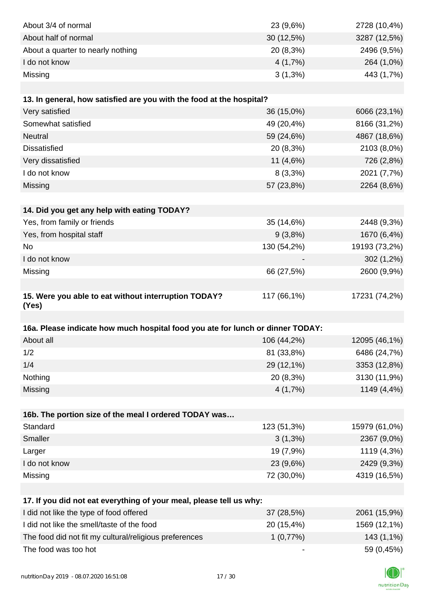| About 3/4 of normal                                                            | 23 (9,6%)    | 2728 (10,4%)  |
|--------------------------------------------------------------------------------|--------------|---------------|
| About half of normal                                                           | $30(12,5\%)$ | 3287 (12,5%)  |
| About a quarter to nearly nothing                                              | 20 (8,3%)    | 2496 (9,5%)   |
| I do not know                                                                  | 4(1,7%)      | 264 (1,0%)    |
| Missing                                                                        | $3(1,3\%)$   | 443 (1,7%)    |
|                                                                                |              |               |
| 13. In general, how satisfied are you with the food at the hospital?           |              |               |
| Very satisfied                                                                 | 36 (15,0%)   | 6066 (23,1%)  |
| Somewhat satisfied                                                             | 49 (20,4%)   | 8166 (31,2%)  |
| Neutral                                                                        | 59 (24,6%)   | 4867 (18,6%)  |
| <b>Dissatisfied</b>                                                            | 20 (8,3%)    | 2103 (8,0%)   |
| Very dissatisfied                                                              | 11 (4,6%)    | 726 (2,8%)    |
| I do not know                                                                  | $8(3,3\%)$   | 2021 (7,7%)   |
| Missing                                                                        | 57 (23,8%)   | 2264 (8,6%)   |
|                                                                                |              |               |
| 14. Did you get any help with eating TODAY?                                    |              |               |
| Yes, from family or friends                                                    | 35 (14,6%)   | 2448 (9,3%)   |
| Yes, from hospital staff                                                       | 9(3,8%)      | 1670 (6,4%)   |
| <b>No</b>                                                                      | 130 (54,2%)  | 19193 (73,2%) |
| I do not know                                                                  |              | 302 (1,2%)    |
| Missing                                                                        | 66 (27,5%)   | 2600 (9,9%)   |
|                                                                                |              |               |
| 15. Were you able to eat without interruption TODAY?                           | 117 (66,1%)  | 17231 (74,2%) |
| (Yes)                                                                          |              |               |
| 16a. Please indicate how much hospital food you ate for lunch or dinner TODAY: |              |               |
| About all                                                                      | 106 (44,2%)  | 12095 (46,1%) |
| 1/2                                                                            | 81 (33,8%)   | 6486 (24,7%)  |
| 1/4                                                                            | 29 (12,1%)   | 3353 (12,8%)  |
| Nothing                                                                        | 20 (8,3%)    | 3130 (11,9%)  |
| Missing                                                                        | 4(1,7%)      | 1149 (4,4%)   |
|                                                                                |              |               |
| 16b. The portion size of the meal I ordered TODAY was                          |              |               |
| Standard                                                                       | 123 (51,3%)  | 15979 (61,0%) |
| Smaller                                                                        | $3(1,3\%)$   | 2367 (9,0%)   |
| Larger                                                                         | 19 (7,9%)    | 1119 (4,3%)   |
| I do not know                                                                  | 23 (9,6%)    | 2429 (9,3%)   |
| Missing                                                                        | 72 (30,0%)   | 4319 (16,5%)  |
|                                                                                |              |               |
| 17. If you did not eat everything of your meal, please tell us why:            |              |               |
| I did not like the type of food offered                                        | 37 (28,5%)   | 2061 (15,9%)  |
| I did not like the smell/taste of the food                                     | 20 (15,4%)   | 1569 (12,1%)  |
| The food did not fit my cultural/religious preferences                         | 1(0,77%)     | 143 (1,1%)    |
| The food was too hot                                                           |              | 59 (0,45%)    |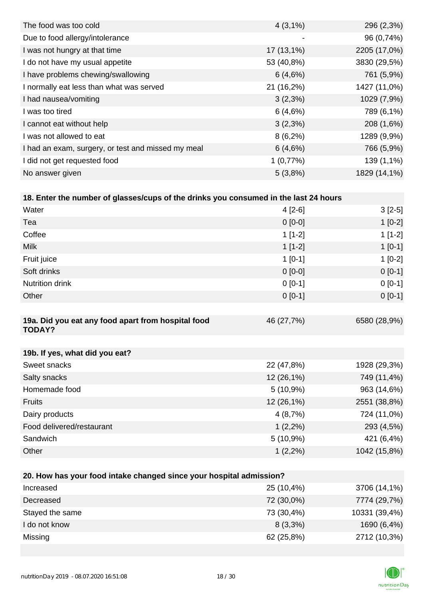| $4(3,1\%)$   | 296 (2,3%)   |
|--------------|--------------|
| -            | 96 (0,74%)   |
| $17(13,1\%)$ | 2205 (17,0%) |
| 53 (40,8%)   | 3830 (29,5%) |
| 6(4,6%)      | 761 (5,9%)   |
| 21 (16,2%)   | 1427 (11,0%) |
| $3(2,3\%)$   | 1029 (7,9%)  |
| 6(4,6%)      | 789 (6,1%)   |
| $3(2,3\%)$   | 208 (1,6%)   |
| $8(6,2\%)$   | 1289 (9,9%)  |
| 6(4,6%)      | 766 (5,9%)   |
| 1(0,77%)     | 139 (1,1%)   |
| 5(3,8%)      | 1829 (14,1%) |
|              |              |

|  |  |  | 18. Enter the number of glasses/cups of the drinks you consumed in the last 24 hours |
|--|--|--|--------------------------------------------------------------------------------------|
|  |  |  |                                                                                      |

| Water                                                               | $4[2-6]$   | $3[2-5]$     |
|---------------------------------------------------------------------|------------|--------------|
| Tea                                                                 | $0 [0-0]$  | $1[0-2]$     |
| Coffee                                                              | $1[1-2]$   | $1[1-2]$     |
| <b>Milk</b>                                                         | $1[1-2]$   | $1[0-1]$     |
| Fruit juice                                                         | $1 [0-1]$  | $1[0-2]$     |
| Soft drinks                                                         | $0 [0-0]$  | $0[0-1]$     |
| Nutrition drink                                                     | $0 [0-1]$  | $0[0-1]$     |
| Other                                                               | $0 [0-1]$  | $0[0-1]$     |
|                                                                     |            |              |
| 19a. Did you eat any food apart from hospital food<br><b>TODAY?</b> | 46 (27,7%) | 6580 (28,9%) |
|                                                                     |            |              |
| 19b. If yes, what did you eat?                                      |            |              |
| Sweet snacks                                                        | 22 (47,8%) | 1928 (29,3%) |
| Salty snacks                                                        | 12 (26,1%) | 749 (11,4%)  |
| Homemade food                                                       | 5(10,9%)   | 963 (14,6%)  |
| Fruits                                                              | 12 (26,1%) | 2551 (38,8%) |
| Dairy products                                                      | 4(8,7%)    | 724 (11,0%)  |
| Food delivered/restaurant                                           | $1(2,2\%)$ | 293 (4,5%)   |
| Sandwich                                                            | 5(10,9%)   | 421 (6,4%)   |
| Other                                                               | $1(2,2\%)$ | 1042 (15,8%) |
|                                                                     |            |              |
| 20. How has your food intake changed since your hospital admission? |            |              |

| For their that your tool minime changed onles your hooping admitioner. |            |               |
|------------------------------------------------------------------------|------------|---------------|
| Increased                                                              | 25 (10,4%) | 3706 (14,1%)  |
| Decreased                                                              | 72 (30,0%) | 7774 (29,7%)  |
| Stayed the same                                                        | 73 (30,4%) | 10331 (39,4%) |
| I do not know                                                          | $8(3,3\%)$ | 1690 (6,4%)   |
| Missing                                                                | 62 (25,8%) | 2712 (10,3%)  |

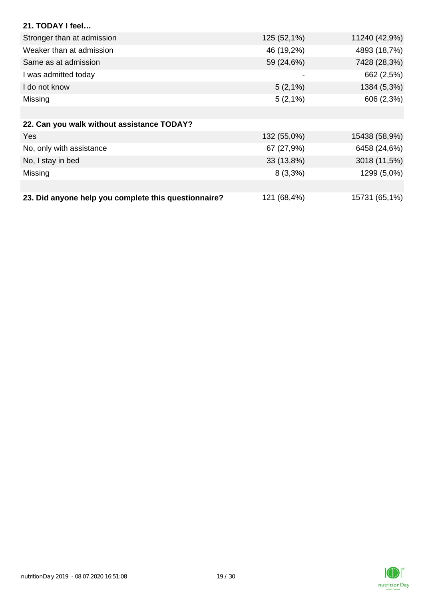| 21. TODAY I feel                                     |             |               |
|------------------------------------------------------|-------------|---------------|
| Stronger than at admission                           | 125 (52,1%) | 11240 (42,9%) |
| Weaker than at admission                             | 46 (19,2%)  | 4893 (18,7%)  |
| Same as at admission                                 | 59 (24,6%)  | 7428 (28,3%)  |
| I was admitted today                                 |             | 662 (2,5%)    |
| I do not know                                        | $5(2,1\%)$  | 1384 (5,3%)   |
| Missing                                              | $5(2,1\%)$  | 606 (2,3%)    |
|                                                      |             |               |
| 22. Can you walk without assistance TODAY?           |             |               |
| Yes                                                  | 132 (55,0%) | 15438 (58,9%) |
| No, only with assistance                             | 67 (27,9%)  | 6458 (24,6%)  |
| No, I stay in bed                                    | 33 (13,8%)  | 3018 (11,5%)  |
| Missing                                              | $8(3,3\%)$  | 1299 (5,0%)   |
|                                                      |             |               |
| 23. Did anyone help you complete this questionnaire? | 121 (68,4%) | 15731 (65,1%) |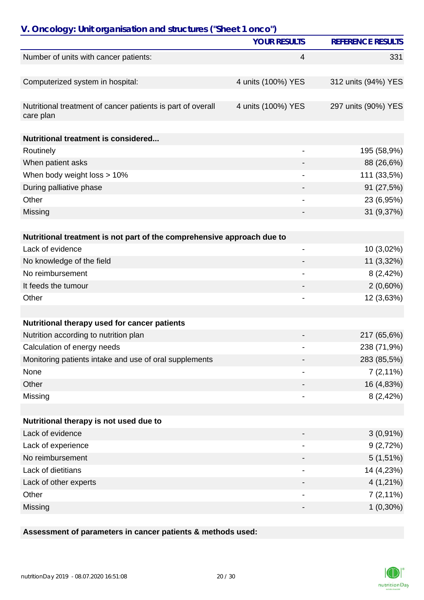| V. Oncology: Unit organisation and structures ("Sheet 1 onco")           | <b>YOUR RESULTS</b> |                          |
|--------------------------------------------------------------------------|---------------------|--------------------------|
|                                                                          |                     | <b>REFERENCE RESULTS</b> |
| Number of units with cancer patients:                                    | 4                   | 331                      |
| Computerized system in hospital:                                         | 4 units (100%) YES  | 312 units (94%) YES      |
|                                                                          |                     |                          |
| Nutritional treatment of cancer patients is part of overall<br>care plan | 4 units (100%) YES  | 297 units (90%) YES      |
| Nutritional treatment is considered                                      |                     |                          |
| Routinely                                                                |                     | 195 (58,9%)              |
| When patient asks                                                        |                     | 88 (26,6%)               |
| When body weight loss > 10%                                              |                     | 111 (33,5%)              |
| During palliative phase                                                  |                     | 91 (27,5%)               |
| Other                                                                    |                     | 23 (6,95%)               |
| Missing                                                                  |                     | 31 (9,37%)               |
|                                                                          |                     |                          |
| Nutritional treatment is not part of the comprehensive approach due to   |                     |                          |
| Lack of evidence                                                         | $\overline{a}$      | 10 (3,02%)               |
| No knowledge of the field                                                |                     | 11 (3,32%)               |
| No reimbursement                                                         |                     | 8(2,42%)                 |
| It feeds the tumour                                                      |                     | $2(0,60\%)$              |
| Other                                                                    |                     | 12 (3,63%)               |
| Nutritional therapy used for cancer patients                             |                     |                          |
| Nutrition according to nutrition plan                                    |                     | 217 (65,6%)              |
| Calculation of energy needs                                              |                     | 238 (71,9%)              |
|                                                                          |                     | 283 (85,5%)              |
| Monitoring patients intake and use of oral supplements<br>None           |                     |                          |
| Other                                                                    |                     | $7(2,11\%)$              |
| Missing                                                                  |                     | 16 (4,83%)<br>8(2,42%)   |
|                                                                          |                     |                          |
| Nutritional therapy is not used due to                                   |                     |                          |
| Lack of evidence                                                         |                     | $3(0,91\%)$              |
| Lack of experience                                                       |                     | 9(2,72%)                 |
| No reimbursement                                                         |                     | $5(1,51\%)$              |
| Lack of dietitians                                                       |                     | 14 (4,23%)               |
| Lack of other experts                                                    |                     | $4(1,21\%)$              |
| Other                                                                    |                     | $7(2,11\%)$              |
| Missing                                                                  |                     | $1(0,30\%)$              |

# **Assessment of parameters in cancer patients & methods used:**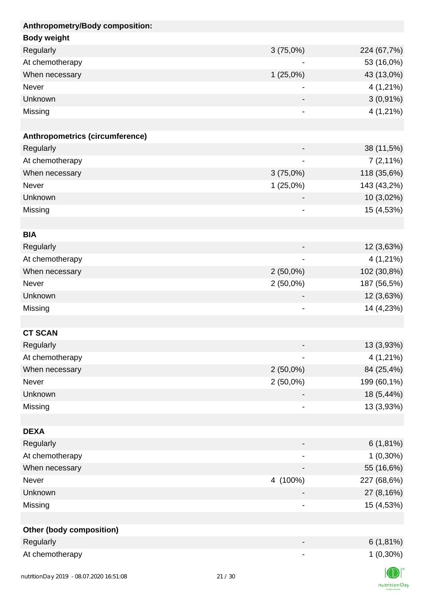| Anthropometry/Body composition: |                |             |
|---------------------------------|----------------|-------------|
| <b>Body weight</b>              |                |             |
| Regularly                       | 3(75,0%)       | 224 (67,7%) |
| At chemotherapy                 |                | 53 (16,0%)  |
| When necessary                  | $1(25,0\%)$    | 43 (13,0%)  |
| Never                           |                | 4 (1,21%)   |
| Unknown                         |                | $3(0,91\%)$ |
| Missing                         | -              | $4(1,21\%)$ |
|                                 |                |             |
| Anthropometrics (circumference) |                |             |
| Regularly                       |                | 38 (11,5%)  |
| At chemotherapy                 |                | $7(2,11\%)$ |
| When necessary                  | 3(75,0%)       | 118 (35,6%) |
| Never                           | 1(25,0%)       | 143 (43,2%) |
| Unknown                         |                | 10 (3,02%)  |
| Missing                         | $\overline{a}$ | 15 (4,53%)  |
|                                 |                |             |
| <b>BIA</b>                      |                |             |
| Regularly                       |                | 12 (3,63%)  |
| At chemotherapy                 |                | $4(1,21\%)$ |
| When necessary                  | $2(50,0\%)$    | 102 (30,8%) |
| Never                           | $2(50,0\%)$    | 187 (56,5%) |
| Unknown                         | -              | 12 (3,63%)  |
| Missing                         | -              | 14 (4,23%)  |
|                                 |                |             |
| <b>CT SCAN</b>                  |                |             |
| Regularly                       |                | 13 (3,93%)  |
| At chemotherapy                 |                | 4 (1,21%)   |
| When necessary                  | $2(50,0\%)$    | 84 (25,4%)  |
| Never                           | $2(50,0\%)$    | 199 (60,1%) |
| Unknown                         |                | 18 (5,44%)  |
| Missing                         |                | 13 (3,93%)  |
|                                 |                |             |
| <b>DEXA</b>                     |                |             |
| Regularly                       |                | $6(1,81\%)$ |
| At chemotherapy                 |                | $1(0,30\%)$ |
| When necessary                  |                | 55 (16,6%)  |
| Never                           | 4 (100%)       | 227 (68,6%) |
| Unknown                         |                | 27 (8,16%)  |
| Missing                         | -              | 15 (4,53%)  |
|                                 |                |             |
| <b>Other (body composition)</b> |                |             |
| Regularly                       |                | $6(1,81\%)$ |
| At chemotherapy                 |                | $1(0,30\%)$ |
|                                 |                | $\sqrt{N}$  |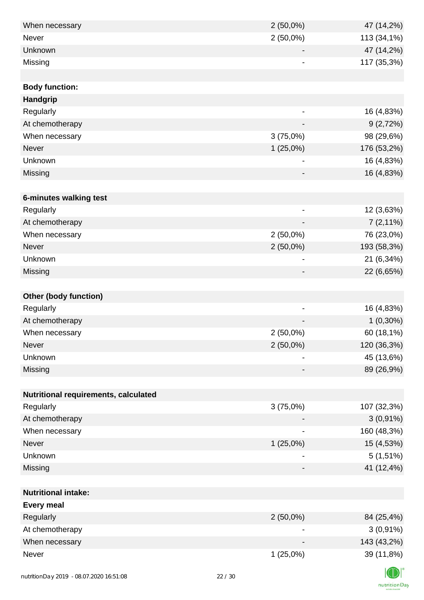| When necessary                       | $2(50,0\%)$                  | 47 (14,2%)  |
|--------------------------------------|------------------------------|-------------|
| <b>Never</b>                         | $2(50,0\%)$                  | 113 (34,1%) |
| Unknown                              |                              | 47 (14,2%)  |
| Missing                              | ۰                            | 117 (35,3%) |
|                                      |                              |             |
| <b>Body function:</b>                |                              |             |
| Handgrip                             |                              |             |
| Regularly                            |                              | 16 (4,83%)  |
| At chemotherapy                      | $\overline{a}$               | 9(2,72%)    |
| When necessary                       | 3(75,0%)                     | 98 (29,6%)  |
| Never                                | 1(25,0%)                     | 176 (53,2%) |
| Unknown                              |                              | 16 (4,83%)  |
| Missing                              | -                            | 16 (4,83%)  |
|                                      |                              |             |
| 6-minutes walking test               |                              |             |
| Regularly                            | $\qquad \qquad \blacksquare$ | 12 (3,63%)  |
| At chemotherapy                      |                              | $7(2,11\%)$ |
| When necessary                       | $2(50,0\%)$                  | 76 (23,0%)  |
| Never                                | $2(50,0\%)$                  | 193 (58,3%) |
| Unknown                              | $\overline{\phantom{a}}$     | 21 (6,34%)  |
| Missing                              |                              | 22 (6,65%)  |
|                                      |                              |             |
| <b>Other (body function)</b>         |                              |             |
| Regularly                            |                              | 16 (4,83%)  |
| At chemotherapy                      |                              | $1(0,30\%)$ |
| When necessary                       | $2(50,0\%)$                  | 60 (18,1%)  |
| Never                                | $2(50,0\%)$                  | 120 (36,3%) |
| Unknown                              |                              | 45 (13,6%)  |
| Missing                              |                              | 89 (26,9%)  |
|                                      |                              |             |
| Nutritional requirements, calculated |                              |             |
| Regularly                            | 3(75,0%)                     | 107 (32,3%) |
| At chemotherapy                      |                              | $3(0,91\%)$ |
| When necessary                       |                              | 160 (48,3%) |
| Never                                | 1(25,0%)                     | 15 (4,53%)  |
| Unknown                              |                              | $5(1,51\%)$ |
| Missing                              | -                            | 41 (12,4%)  |
|                                      |                              |             |
| <b>Nutritional intake:</b>           |                              |             |
| <b>Every meal</b>                    |                              |             |
| Regularly                            | $2(50,0\%)$                  | 84 (25,4%)  |
| At chemotherapy                      | $\blacksquare$               | $3(0,91\%)$ |
| When necessary                       |                              | 143 (43,2%) |
| Never                                | $1(25,0\%)$                  | 39 (11,8%)  |
|                                      |                              | $\sqrt{N}$  |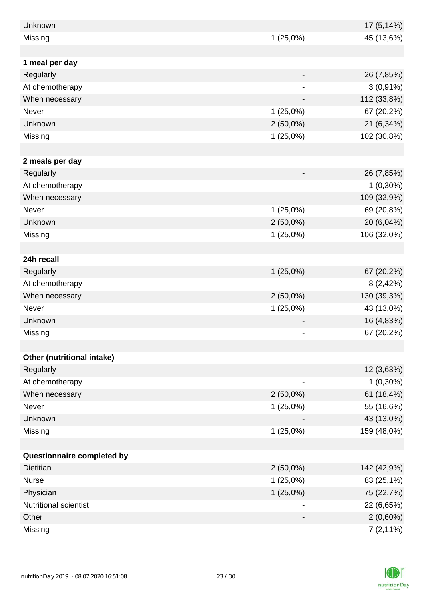| Unknown                    |             | 17 (5,14%)  |
|----------------------------|-------------|-------------|
| Missing                    | 1(25,0%)    | 45 (13,6%)  |
|                            |             |             |
| 1 meal per day             |             |             |
| Regularly                  |             | 26 (7,85%)  |
| At chemotherapy            |             | $3(0,91\%)$ |
| When necessary             |             | 112 (33,8%) |
| Never                      | 1(25,0%)    | 67 (20,2%)  |
| Unknown                    | $2(50,0\%)$ | 21 (6,34%)  |
| Missing                    | 1(25,0%)    | 102 (30,8%) |
|                            |             |             |
| 2 meals per day            |             |             |
| Regularly                  | -           | 26 (7,85%)  |
| At chemotherapy            |             | $1(0,30\%)$ |
| When necessary             |             | 109 (32,9%) |
| Never                      | $1(25,0\%)$ | 69 (20,8%)  |
| Unknown                    | $2(50,0\%)$ | 20 (6,04%)  |
| Missing                    | 1(25,0%)    | 106 (32,0%) |
|                            |             |             |
| 24h recall                 |             |             |
| Regularly                  | 1(25,0%)    | 67 (20,2%)  |
| At chemotherapy            |             | 8(2,42%)    |
| When necessary             | $2(50,0\%)$ | 130 (39,3%) |
| Never                      | $1(25,0\%)$ | 43 (13,0%)  |
| Unknown                    |             | 16 (4,83%)  |
| Missing                    |             | 67 (20,2%)  |
|                            |             |             |
| Other (nutritional intake) |             |             |
| Regularly                  |             | 12 (3,63%)  |
| At chemotherapy            |             | $1(0,30\%)$ |
| When necessary             | $2(50,0\%)$ | 61 (18,4%)  |
| Never                      | 1(25,0%)    | 55 (16,6%)  |
| Unknown                    |             | 43 (13,0%)  |
| Missing                    | 1(25,0%)    | 159 (48,0%) |
|                            |             |             |
| Questionnaire completed by |             |             |
| <b>Dietitian</b>           | $2(50,0\%)$ | 142 (42,9%) |
| <b>Nurse</b>               | 1(25,0%)    | 83 (25,1%)  |
| Physician                  | $1(25,0\%)$ | 75 (22,7%)  |
| Nutritional scientist      |             | 22 (6,65%)  |
| Other                      |             | $2(0,60\%)$ |
| Missing                    |             | $7(2,11\%)$ |

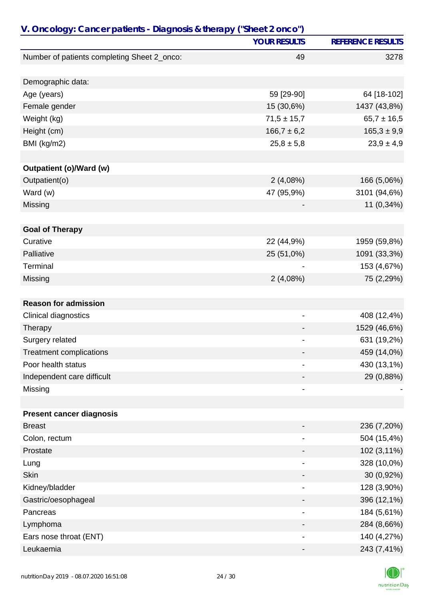| V. Oncology: Cancer patients - Diagnosis & therapy ("Sheet 2 onco") |                              |                          |  |
|---------------------------------------------------------------------|------------------------------|--------------------------|--|
|                                                                     | <b>YOUR RESULTS</b>          | <b>REFERENCE RESULTS</b> |  |
| Number of patients completing Sheet 2_onco:                         | 49                           | 3278                     |  |
|                                                                     |                              |                          |  |
| Demographic data:                                                   |                              |                          |  |
| Age (years)                                                         | 59 [29-90]                   | 64 [18-102]              |  |
| Female gender                                                       | 15 (30,6%)                   | 1437 (43,8%)             |  |
| Weight (kg)                                                         | $71,5 \pm 15,7$              | $65,7 \pm 16,5$          |  |
| Height (cm)                                                         | $166,7 \pm 6,2$              | $165,3 \pm 9,9$          |  |
| BMI (kg/m2)                                                         | $25,8 \pm 5,8$               | $23,9 \pm 4,9$           |  |
|                                                                     |                              |                          |  |
| <b>Outpatient (o)/Ward (w)</b>                                      |                              |                          |  |
| Outpatient(o)                                                       | 2(4,08%)                     | 166 (5,06%)              |  |
| Ward (w)                                                            | 47 (95,9%)                   | 3101 (94,6%)             |  |
| Missing                                                             |                              | 11 (0,34%)               |  |
| <b>Goal of Therapy</b>                                              |                              |                          |  |
| Curative                                                            | 22 (44,9%)                   | 1959 (59,8%)             |  |
| Palliative                                                          | 25 (51,0%)                   | 1091 (33,3%)             |  |
| Terminal                                                            |                              | 153 (4,67%)              |  |
| Missing                                                             | 2(4,08%)                     | 75 (2,29%)               |  |
|                                                                     |                              |                          |  |
| <b>Reason for admission</b>                                         |                              |                          |  |
| Clinical diagnostics                                                | -                            | 408 (12,4%)              |  |
| Therapy                                                             |                              | 1529 (46,6%)             |  |
| Surgery related                                                     |                              | 631 (19,2%)              |  |
| <b>Treatment complications</b>                                      |                              | 459 (14,0%)              |  |
| Poor health status                                                  | $\overline{\phantom{0}}$     | 430 (13,1%)              |  |
| Independent care difficult                                          |                              | 29 (0,88%)               |  |
| Missing                                                             |                              |                          |  |
|                                                                     |                              |                          |  |
| <b>Present cancer diagnosis</b>                                     |                              |                          |  |
| <b>Breast</b>                                                       |                              | 236 (7,20%)              |  |
| Colon, rectum                                                       |                              | 504 (15,4%)              |  |
| Prostate                                                            |                              | 102 (3,11%)              |  |
| Lung                                                                | $\qquad \qquad \blacksquare$ | 328 (10,0%)              |  |
| <b>Skin</b>                                                         |                              | 30 (0,92%)               |  |
| Kidney/bladder                                                      |                              | 128 (3,90%)              |  |
| Gastric/oesophageal                                                 |                              | 396 (12,1%)              |  |
| Pancreas                                                            |                              | 184 (5,61%)              |  |
| Lymphoma                                                            |                              | 284 (8,66%)              |  |
| Ears nose throat (ENT)                                              |                              | 140 (4,27%)              |  |
| Leukaemia                                                           |                              | 243 (7,41%)              |  |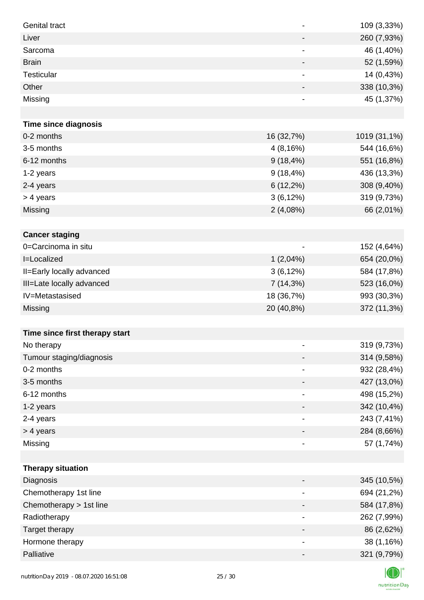| <b>Genital tract</b>           | $\qquad \qquad \blacksquare$ | 109 (3,33%)  |
|--------------------------------|------------------------------|--------------|
| Liver                          | $\overline{\phantom{a}}$     | 260 (7,93%)  |
| Sarcoma                        | $\qquad \qquad \blacksquare$ | 46 (1,40%)   |
| <b>Brain</b>                   | $\overline{\phantom{a}}$     | 52 (1,59%)   |
| Testicular                     | $\blacksquare$               | 14 (0,43%)   |
| Other                          |                              | 338 (10,3%)  |
| Missing                        | $\qquad \qquad \blacksquare$ | 45 (1,37%)   |
|                                |                              |              |
| <b>Time since diagnosis</b>    |                              |              |
| 0-2 months                     | 16 (32,7%)                   | 1019 (31,1%) |
| 3-5 months                     | 4(8,16%)                     | 544 (16,6%)  |
| 6-12 months                    | $9(18, 4\%)$                 | 551 (16,8%)  |
| 1-2 years                      | $9(18, 4\%)$                 | 436 (13,3%)  |
| 2-4 years                      | $6(12,2\%)$                  | 308 (9,40%)  |
| > 4 years                      | $3(6,12\%)$                  | 319 (9,73%)  |
| Missing                        | 2(4,08%)                     | 66 (2,01%)   |
|                                |                              |              |
| <b>Cancer staging</b>          |                              |              |
| 0=Carcinoma in situ            |                              | 152 (4,64%)  |
| I=Localized                    | $1(2,04\%)$                  | 654 (20,0%)  |
| II=Early locally advanced      | 3(6,12%)                     | 584 (17,8%)  |
| III=Late locally advanced      | 7 (14,3%)                    | 523 (16,0%)  |
| IV=Metastasised                | 18 (36,7%)                   | 993 (30,3%)  |
| <b>Missing</b>                 | 20 (40,8%)                   | 372 (11,3%)  |
|                                |                              |              |
| Time since first therapy start |                              |              |
| No therapy                     |                              | 319 (9,73%)  |
| Tumour staging/diagnosis       |                              | 314 (9,58%)  |
| 0-2 months                     |                              | 932 (28,4%)  |
| 3-5 months                     |                              | 427 (13,0%)  |
| 6-12 months                    | -                            | 498 (15,2%)  |
| 1-2 years                      |                              | 342 (10,4%)  |
| 2-4 years                      | $\overline{\phantom{a}}$     | 243 (7,41%)  |
| > 4 years                      | -                            | 284 (8,66%)  |
| Missing                        | $\overline{\phantom{a}}$     | 57 (1,74%)   |
|                                |                              |              |
| <b>Therapy situation</b>       |                              |              |
| Diagnosis                      | -                            | 345 (10,5%)  |
| Chemotherapy 1st line          |                              | 694 (21,2%)  |
| Chemotherapy > 1st line        |                              | 584 (17,8%)  |
| Radiotherapy                   | $\overline{\phantom{a}}$     | 262 (7,99%)  |
| Target therapy                 | -                            | 86 (2,62%)   |
| Hormone therapy                | $\overline{\phantom{a}}$     | 38 (1,16%)   |
| Palliative                     |                              | 321 (9,79%)  |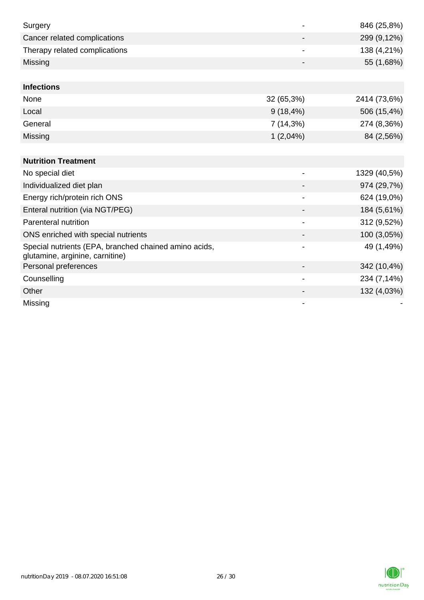| Surgery                                                                                  |                          | 846 (25,8%)  |
|------------------------------------------------------------------------------------------|--------------------------|--------------|
| Cancer related complications                                                             |                          | 299 (9,12%)  |
| Therapy related complications                                                            |                          | 138 (4,21%)  |
| Missing                                                                                  |                          | 55 (1,68%)   |
|                                                                                          |                          |              |
| <b>Infections</b>                                                                        |                          |              |
| None                                                                                     | 32 (65,3%)               | 2414 (73,6%) |
| Local                                                                                    | $9(18, 4\%)$             | 506 (15,4%)  |
| General                                                                                  | 7(14,3%)                 | 274 (8,36%)  |
| Missing                                                                                  | 1(2,04%)                 | 84 (2,56%)   |
|                                                                                          |                          |              |
| <b>Nutrition Treatment</b>                                                               |                          |              |
| No special diet                                                                          |                          | 1329 (40,5%) |
| Individualized diet plan                                                                 |                          | 974 (29,7%)  |
| Energy rich/protein rich ONS                                                             | $\blacksquare$           | 624 (19,0%)  |
| Enteral nutrition (via NGT/PEG)                                                          |                          | 184 (5,61%)  |
| Parenteral nutrition                                                                     |                          | 312 (9,52%)  |
| ONS enriched with special nutrients                                                      |                          | 100 (3,05%)  |
| Special nutrients (EPA, branched chained amino acids,<br>glutamine, arginine, carnitine) |                          | 49 (1,49%)   |
| Personal preferences                                                                     |                          | 342 (10,4%)  |
| Counselling                                                                              | $\overline{\phantom{a}}$ | 234 (7,14%)  |
| Other                                                                                    |                          | 132 (4,03%)  |
| Missing                                                                                  |                          |              |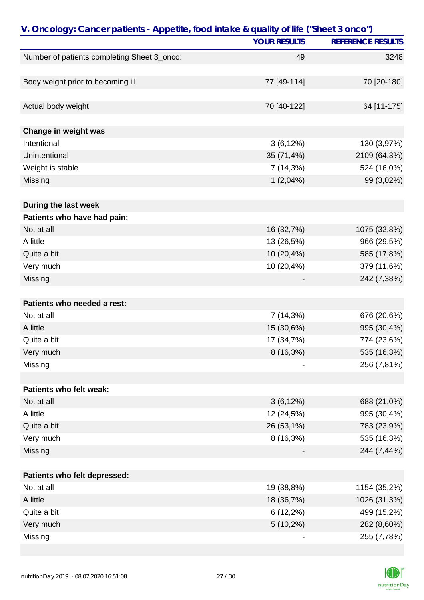| V. Oncology: Cancer patients - Appetite, food intake & quality of life ("Sheet 3 onco") |                     |                          |
|-----------------------------------------------------------------------------------------|---------------------|--------------------------|
|                                                                                         | <b>YOUR RESULTS</b> | <b>REFERENCE RESULTS</b> |
| Number of patients completing Sheet 3_onco:                                             | 49                  | 3248                     |
|                                                                                         |                     |                          |
| Body weight prior to becoming ill                                                       | 77 [49-114]         | 70 [20-180]              |
|                                                                                         |                     |                          |
| Actual body weight                                                                      | 70 [40-122]         | 64 [11-175]              |
|                                                                                         |                     |                          |
| Change in weight was                                                                    |                     |                          |
| Intentional                                                                             | 3(6,12%)            | 130 (3,97%)              |
| Unintentional                                                                           | 35 (71,4%)          | 2109 (64,3%)             |
| Weight is stable                                                                        | 7(14,3%)            | 524 (16,0%)              |
| Missing                                                                                 | 1(2,04%)            | 99 (3,02%)               |
| During the last week                                                                    |                     |                          |
| Patients who have had pain:                                                             |                     |                          |
| Not at all                                                                              | 16 (32,7%)          | 1075 (32,8%)             |
| A little                                                                                | 13 (26,5%)          | 966 (29,5%)              |
|                                                                                         |                     |                          |
| Quite a bit                                                                             | 10 (20,4%)          | 585 (17,8%)              |
| Very much                                                                               | 10 (20,4%)          | 379 (11,6%)              |
| Missing                                                                                 |                     | 242 (7,38%)              |
| Patients who needed a rest:                                                             |                     |                          |
| Not at all                                                                              | 7(14,3%)            | 676 (20,6%)              |
| A little                                                                                | 15 (30,6%)          | 995 (30,4%)              |
| Quite a bit                                                                             | 17 (34,7%)          | 774 (23,6%)              |
|                                                                                         |                     |                          |
| Very much                                                                               | 8 (16,3%)           | 535 (16,3%)              |
| Missing                                                                                 |                     | 256 (7,81%)              |
| Patients who felt weak:                                                                 |                     |                          |
| Not at all                                                                              | $3(6,12\%)$         | 688 (21,0%)              |
| A little                                                                                | 12 (24,5%)          | 995 (30,4%)              |
| Quite a bit                                                                             | 26 (53,1%)          | 783 (23,9%)              |
| Very much                                                                               | 8 (16,3%)           | 535 (16,3%)              |
|                                                                                         |                     |                          |
| Missing                                                                                 |                     | 244 (7,44%)              |
| Patients who felt depressed:                                                            |                     |                          |
| Not at all                                                                              | 19 (38,8%)          | 1154 (35,2%)             |
| A little                                                                                | 18 (36,7%)          | 1026 (31,3%)             |
| Quite a bit                                                                             | $6(12,2\%)$         | 499 (15,2%)              |
| Very much                                                                               | $5(10,2\%)$         | 282 (8,60%)              |
| Missing                                                                                 |                     | 255 (7,78%)              |

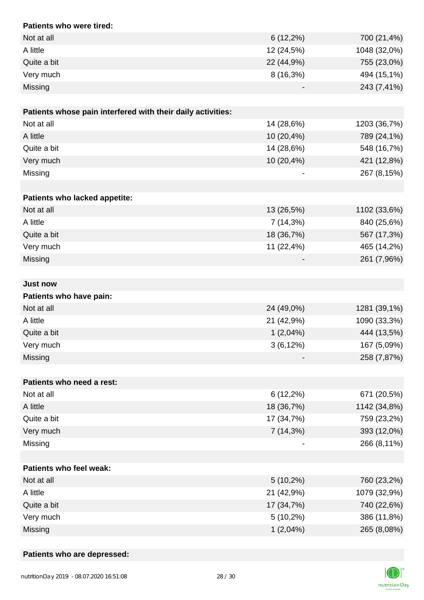| Patients who were tired:                                    |             |              |
|-------------------------------------------------------------|-------------|--------------|
| Not at all                                                  | $6(12,2\%)$ | 700 (21,4%)  |
| A little                                                    | 12 (24,5%)  | 1048 (32,0%) |
| Quite a bit                                                 | 22 (44,9%)  | 755 (23,0%)  |
| Very much                                                   | 8 (16,3%)   | 494 (15,1%)  |
| Missing                                                     |             | 243 (7,41%)  |
| Patients whose pain interfered with their daily activities: |             |              |
| Not at all                                                  | 14 (28,6%)  | 1203 (36,7%) |
| A little                                                    | 10 (20,4%)  | 789 (24,1%)  |
| Quite a bit                                                 | 14 (28,6%)  | 548 (16,7%)  |
| Very much                                                   | 10 (20,4%)  | 421 (12,8%)  |
| Missing                                                     |             | 267 (8,15%)  |
|                                                             |             |              |
| Patients who lacked appetite:                               |             |              |
| Not at all                                                  | 13 (26,5%)  | 1102 (33,6%) |
| A little                                                    | 7 (14,3%)   | 840 (25,6%)  |
| Quite a bit                                                 | 18 (36,7%)  | 567 (17,3%)  |
| Very much                                                   | 11 (22,4%)  | 465 (14,2%)  |
| Missing                                                     |             | 261 (7,96%)  |
|                                                             |             |              |
| <b>Just now</b>                                             |             |              |
| Patients who have pain:                                     |             |              |
| Not at all                                                  | 24 (49,0%)  | 1281 (39,1%) |
| A little                                                    | 21 (42,9%)  | 1090 (33,3%) |
| Quite a bit                                                 | $1(2,04\%)$ | 444 (13,5%)  |
| Very much                                                   | 3(6,12%)    | 167 (5,09%)  |
| Missing                                                     |             | 258 (7,87%)  |
|                                                             |             |              |
| Patients who need a rest:                                   |             |              |
| Not at all                                                  | $6(12,2\%)$ | 671 (20,5%)  |
| A little                                                    | 18 (36,7%)  | 1142 (34,8%) |
| Quite a bit                                                 | 17 (34,7%)  | 759 (23,2%)  |
| Very much                                                   | 7 (14,3%)   | 393 (12,0%)  |
| Missing                                                     |             | 266 (8,11%)  |
|                                                             |             |              |
| Patients who feel weak:                                     |             |              |
| Not at all                                                  | $5(10,2\%)$ | 760 (23,2%)  |
| A little                                                    | 21 (42,9%)  | 1079 (32,9%) |
| Quite a bit                                                 | 17 (34,7%)  | 740 (22,6%)  |
| Very much                                                   | $5(10,2\%)$ | 386 (11,8%)  |
| Missing                                                     | $1(2,04\%)$ | 265 (8,08%)  |

### **Patients who are depressed:**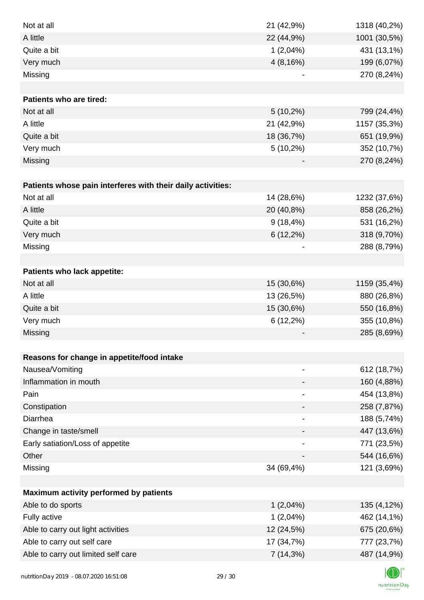| Not at all                                                  | 21 (42,9%)                   | 1318 (40,2%) |
|-------------------------------------------------------------|------------------------------|--------------|
| A little                                                    | 22 (44,9%)                   | 1001 (30,5%) |
| Quite a bit                                                 | $1(2,04\%)$                  | 431 (13,1%)  |
| Very much                                                   | 4(8,16%)                     | 199 (6,07%)  |
| Missing                                                     |                              | 270 (8,24%)  |
|                                                             |                              |              |
| <b>Patients who are tired:</b>                              |                              |              |
| Not at all                                                  | $5(10,2\%)$                  | 799 (24,4%)  |
| A little                                                    | 21 (42,9%)                   | 1157 (35,3%) |
| Quite a bit                                                 | 18 (36,7%)                   | 651 (19,9%)  |
| Very much                                                   | $5(10,2\%)$                  | 352 (10,7%)  |
| Missing                                                     |                              | 270 (8,24%)  |
|                                                             |                              |              |
| Patients whose pain interferes with their daily activities: |                              |              |
| Not at all                                                  | 14 (28,6%)                   | 1232 (37,6%) |
| A little                                                    | 20 (40,8%)                   | 858 (26,2%)  |
| Quite a bit                                                 | $9(18, 4\%)$                 | 531 (16,2%)  |
| Very much                                                   | $6(12,2\%)$                  | 318 (9,70%)  |
| Missing                                                     |                              | 288 (8,79%)  |
|                                                             |                              |              |
| Patients who lack appetite:                                 |                              |              |
| Not at all                                                  | 15 (30,6%)                   | 1159 (35,4%) |
| A little                                                    | 13 (26,5%)                   | 880 (26,8%)  |
| Quite a bit                                                 | 15 (30,6%)                   | 550 (16,8%)  |
| Very much                                                   | $6(12,2\%)$                  | 355 (10,8%)  |
| Missing                                                     |                              | 285 (8,69%)  |
|                                                             |                              |              |
| Reasons for change in appetite/food intake                  |                              |              |
| Nausea/Vomiting                                             | $\overline{a}$               | 612 (18,7%)  |
| Inflammation in mouth                                       |                              | 160 (4,88%)  |
| Pain                                                        | $\qquad \qquad \blacksquare$ | 454 (13,8%)  |
| Constipation                                                |                              | 258 (7,87%)  |
| Diarrhea                                                    |                              | 188 (5,74%)  |
| Change in taste/smell                                       |                              | 447 (13,6%)  |
| Early satiation/Loss of appetite                            |                              | 771 (23,5%)  |
| Other                                                       |                              | 544 (16,6%)  |
| Missing                                                     | 34 (69,4%)                   | 121 (3,69%)  |
|                                                             |                              |              |
| Maximum activity performed by patients                      |                              |              |
| Able to do sports                                           | $1(2,04\%)$                  | 135 (4,12%)  |
| Fully active                                                | $1(2,04\%)$                  | 462 (14,1%)  |
| Able to carry out light activities                          | 12 (24,5%)                   | 675 (20,6%)  |
| Able to carry out self care                                 | 17 (34,7%)                   | 777 (23,7%)  |
| Able to carry out limited self care                         | 7(14,3%)                     | 487 (14,9%)  |
|                                                             |                              |              |